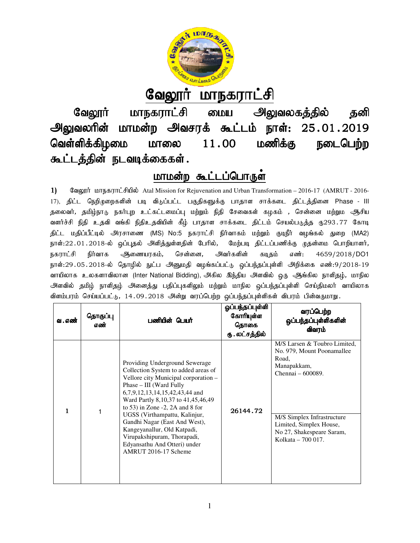

# <u>வேலூர் மாநகராட்சி</u>

வேலூர் மாநகராட்சி மைய அலுவலகத்தில் தனி வேலூர் மாநகராட்சி மைய அலுவலகத்தில் தனி<br>அலுவலரின் மாமன்ற அவசரக் கூட்டம் நாள்: 25.01.2019 வெள்ளிக்கிழமை மாலை கூட்டத்தின் நடவடிக்கைகள்.  $11.00$  மணிக்கு நடைபெற்ற

# <u>மாமன்ற கூட்டப்பொருள</u>்

1) Sangum Lettuan at al Mission for Rejuvenation and Urban Transformation – 2016-17 (AMRUT - 2016-17), திட்ட நெறிமுறைகளின் படி விடுப்பட்ட பகுதிகளுக்கு பாதாள சாக்கடை திட்டத்தினை Phase - III தலைவர், தமிழ்நாடு நகர்புற உட்கட்டமைப்பு மற்றும் நிதி சேவைகள் கழகம் , சென்னை மற்றும ஆசிய 17), திட்ட நெறிமுறைகளின் படி விடுப்பட்ட பகுதிகளுக்கு பாதாள சாக்கடை திட்டத்தினை Phase - III<br>தலைவர், தமிழ்நாடு நகர்புற உட்கட்டமைப்பு மற்றும் நிதி சேவைகள் கழகம் , சென்னை மற்றும ஆசிய<br>வளர்ச்சி நிதி உதவி வங்கி நிதிஉதவியின் கீழ் திட்ட மதிப்பீட்டில் அரசாணை (MS) No:5 நகராட்சி நிர்வாகம் மற்றும் குடிநீர் வழங்கல் துறை ehs;:22.01.2018-y; xg;g[jy; mspj;Js;sjpd; Bghpy;, Bkw;go jpl;lg;gzpf;F Kjd;ik bghwpahsh;, y; நகராட்சி நிர்வாக அிணையரகம், சென்னை, அவர்களின் கடிதம் எண்: நாள்:22․01․2018-ல் ஒப்புதல் அளித்துள்ளதின் பேரில், மேற்படி திட்டப்பணிக்கு முதன்மை பொறியாளர்,<br>நகராட்சி நிர்வாக ஆணையரகம், சென்னை, அவர்களின் கடிதம் எண்: 4659/2018/DO1<br>நாள்:29․05․2018-ல் தொழில் நுட்ப அ வாயிலாக உலகளாவிலான (Inter National Bidding), அகில இந்திய அளவில் ஒரு ஆங்கில நாளிதழ், மாநில அளவில் தமிழ் நாளிதழ் அனைத்து பதிப்புகளிலும் மற்றும் மாநில ஒப்பந்தப்புள்ளி செய்திமலா் வாயிலாக<br>விளம்பரம் செய்யப்பட்டு, 14.09.2018 அன்று வரப்பெற்ற ஒப்பந்தப்புள்ளிகள் விபரம் பின்வருமாறு. விளம்பரம் செய்யப்பட்டு, 14.09.2018 அன்று வரப்பெற்ற ஒப்பந்தப்புள்ளிகள் விபரம் பி தமிழ்நாடு நகாபுற உட்கட்டமைப்பு மற்றும் நிதி சேவைகள் கழகம் , சென்னை மற்றும் ஆசிய<br>|தி உதவி வங்கி நிதிஉதவியின் கீழ் பாதாள சாக்கடை திட்டம் செயல்படுத்த ரு293.77 கோடி<br>ப்பீட்டில் அரசாணை (MS) No:5 நகராட்சி நிர்வாகம் மற்றும் குடிந 4659/2018/DO1

| வ . எண் | தொகுப்பு<br>எண் | பணியின் பெயர்                                                                                                                                                                                                                                                                                                                                                                                                                                       | ஓப்பந்தப்புள்ளி<br>கோரியுள்ள<br>தொகை<br>ரு . லட்சத்தில் | வரப்பெற்ற<br>ஒப்பந்தப்புள்ளிகளின்<br>விவரம்                                                                                                                                                                         |
|---------|-----------------|-----------------------------------------------------------------------------------------------------------------------------------------------------------------------------------------------------------------------------------------------------------------------------------------------------------------------------------------------------------------------------------------------------------------------------------------------------|---------------------------------------------------------|---------------------------------------------------------------------------------------------------------------------------------------------------------------------------------------------------------------------|
| 1       | 1               | Providing Underground Sewerage<br>Collection System to added areas of<br>Vellore city Municipal corporation -<br>Phase - III (Ward Fully<br>6,7,9,12,13,14,15,42,43,44 and<br>Ward Partly 8, 10, 37 to 41, 45, 46, 49<br>to 53) in Zone $-2$ , 2A and 8 for<br>UGSS (Virthampattu, Kalinjur,<br>Gandhi Nagar (East And West),<br>Kangeyanallur, Old Katpadi,<br>Virupakshipuram, Thorapadi,<br>Edyansathu And Otteri) under<br>AMRUT 2016-17 Scheme | 26144.72                                                | M/S Larsen & Toubro Limited,<br>No. 979, Mount Poonamallee<br>Road.<br>Manapakkam,<br>Chennai - 600089.<br>M/S Simplex Infrastructure<br>Limited, Simplex House,<br>No 27, Shakespeare Saram,<br>Kolkata – 700 017. |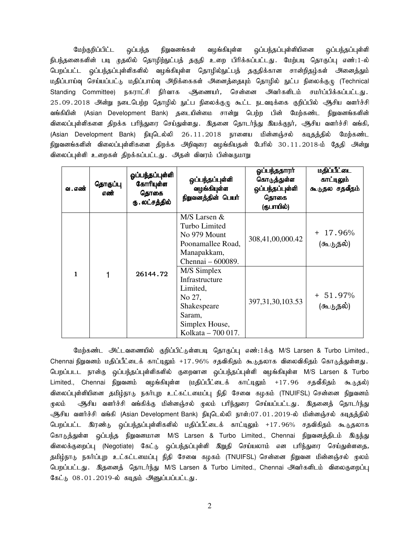மேற்குறிப்பிட்ட ஒப்பந்த நிறுவனங்கள் வழங்கியுள்ள ஒப்பந்தப்புள்ளியினை ஒப்பந்தப்புள்ளி .<br>நிபந்தனைகளின் படி முதலில் தொழிற்நுட்பத் தகுதி உறை பிரிக்கப்பட்டது. மேற்படி தொகுப்பு எண்:1-ல் பெறப்பட்ட ஒப்பந்தப்புள்ளிகளில் வழங்கியுள்ள தொழில்நுட்பத் தகுதிக்கான சான்றிதழ்கள் அனைத்தும் மதிப்பாய்வு செய்யப்பட்டு மதிப்பாய்வு அறிக்கைகள் அனைத்தையும் தொழில் நுட்ப நிலைக்குழு (Technical Standing Committee) நகராட்சி நிர்வாக ஆணையர், சென்னை அவர்களிடம் சமர்ப்பிக்கப்பட்டது. 25.09.2018 அன்று நடைபெற்ற தொழில் நுட்ப நிலைக்குழு கூட்ட நடவடிக்கை குறிப்பில் ஆசிய வளர்ச்சி வங்கியின் (Asian Development Bank) தடையின்மை சான்று பெற்ற பின் மேற்கண்ட நிறுவனங்களின் விலைப்புள்ளிகளை திறக்க பரிந்துரை செய்துள்ளது .இதனை தொடர்ந்து இயக்குநர், ஆசிய வளர்ச்சி வங்கி, (Asian Development Bank) நியுடெல்லி 26.11.2018 நாளைய மின்னஞ்சல் கடிதத்தில் மேற்கண்ட நிறுவனங்களின் விலைப்புள்ளிகளை திறக்க அறிவுரை வழங்கியதன் பேரில் 30.11.2018-ம் தேதி அன்று விலைப்புள்ளி உறைகள் திறக்கப்பட்டது. அதன் விவரம் பின்வருமாறு

| வ . எண் | தொகுப்பு<br>எண் | ஓப்பந்தப்புள்ளி<br>கோரியுள்ள<br>தொகை<br>ரு . லட்சத்தில் | ஒப்பந்தப்புள்ளி<br>வழங்கியுள்ள<br>நிறுவனத்தின் பெயர்                                                                 | ஓப்பந்ததாரா்<br>கொடுத்துள்ள<br>ஒப்பந்தப்புள்ளி<br>தொகை<br>(ருபாயில்) | <u>மதிப்பீட்டை</u><br>காட்டிலும்<br>கூடுதல சதவீதம் |
|---------|-----------------|---------------------------------------------------------|----------------------------------------------------------------------------------------------------------------------|----------------------------------------------------------------------|----------------------------------------------------|
|         |                 |                                                         | $M/S$ Larsen $&$<br>Turbo Limited<br>No 979 Mount<br>Poonamallee Road,<br>Manapakkam,<br>Chennai - 600089.           | 308,41,00,000.42                                                     | $+17.96%$<br>(கூடுதல்)                             |
|         | 1               | 26144.72                                                | M/S Simplex<br>Infrastructure<br>Limited,<br>No 27,<br>Shakespeare<br>Saram,<br>Simplex House,<br>Kolkata - 700 017. | 397, 31, 30, 103. 53                                                 | $+51.97%$<br>(கூடுதல்)                             |

மேற்கண்ட அட்டவணையில் குறிப்பிட்டுள்ளபடி தொகுப்பு எண்:1க்கு M/S Larsen & Turbo Limited., Chennai நிறுவனம் மதிப்பீட்டைக் காட்டிலும் +17.96% சதவிகிதம் கூடுதலாக விலைவிகிதம் கொடுத்துள்ளது. பெறப்படட நான்கு ஒப்பந்தப்புள்ளிகளில் குறைவான ஒப்பந்தப்புள்ளி வழங்கியுள்ள M/S Larsen & Turbo Limited., Chennai நிறுவனம் வழங்கியுள்ள (மதிப்பீட்டைக் காட்டிலும் +17.96 சதவீகிதம் கூடுதல்) விலைப்புள்ளியினை தமிழ்நாடு நகர்புற உட்கட்டமைப்பு நிதி சேவை கழகம் (TNUIFSL) சென்னை நிறுவனம் மூலம் ஆசிய வளர்ச்சி வங்கிக்கு மின்னஞ்சல் முலம் பரிந்துரை செய்யப்பட்டது . இதனைத் தொடர்ந்து الكبولية அசிய வளர்ச்சி வங்கி (Asian Development Bank) நியுடெல்லி நாள்:07 . 01 . 2019-ல் மின்னஞ்சல் கடிதத்தில் பெறப்பட்ட இரண்டு ஒப்பந்தப்புள்ளிகளில் மதிப்பீட்டைக் காட்டிலும் +17.96% சதவிகிதம் கூடுதலாக கொடுத்துள்ள ஒப்பந்த நிறுவனமான M/S Larsen & Turbo Limited., Chennai நிறுவனத்திடம் இருந்து விலைக்குறைப்பு (Negotiate) கேட்டு ஒப்பந்தப்புள்ளி இறுதி செய்யலாம் என பரிந்துரை செய்துள்ளதை*,* தமிழ்நாடு நகர்ப்புற உட்கட்டமைப்பு நிதி சேவை கழகம் (TNUIFSL) சென்னை நிறுவன மின்னஞ்சல் முலம் பெறப்பட்டது. இதனைத் தொடர்ந்து M/S Larsen & Turbo Limited., Chennai அவர்களிடம் விலைகுறைப்பு கேட்டு 08.01.2019-ல் கடிதம் அனுப்பப்பட்டது.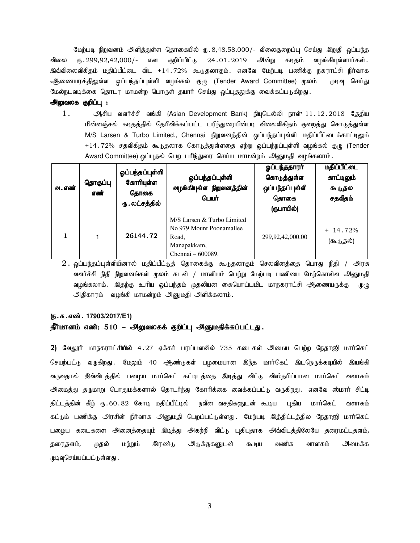மேற்படி நிறுவனம் அளித்துள்ள தொகையில் ரு.8,48,58,000/- விலைகுறைப்பு செய்து இறுதி ஒப்பந்த விலை ரு.299,92,42,000/- என குறிப்பிட்டு 24.01.2019 அன்று கடிதம் வழங்கியுள்ளார்கள். இவ்விலைவிகிதம் மதிப்பீட்டை விட +14.72% கூடுதலாகும். எனவே மேற்படி பணிக்கு நகராட்சி நிர்வாக ஆணையரக்திலுள்ள ஒப்பந்தப்புள்ளி வழங்கல் குழு (Tender Award Committee) மூலம் முடிவு செய்து மேல்நடவடிக்கை தொடர மாமன்ற பொருள் தயார் செய்து ஒப்புதலுக்கு வைக்கப்படுகிறது.

#### அலுவலக குறிப்பு :

 $1.$  ஆசிய வளர்ச்சி வங்கி (Asian Development Bank) நியுடெல்லி நாள்'  $11.12.2018$  தேதிய மின்னஞ்சல் கடிதத்தில் தெரிவிக்கப்பட்ட பரிந்துரையின்படி விலைவிகிதம் குறைத்து கொடுத்துள்ள M/S Larsen & Turbo Limited., Chennai நிறுவனத்தின் ஒப்பந்தப்புள்ளி மதிப்பீட்டைக்காட்டிலும் +14.72% சதவிகிதம் கூடுதலாக கொடுத்துள்ளதை ஏற்று ஒப்பந்நப்புள்ளி வழங்கல் குழு (Tender Award Committee) ஒப்புதல் பெற பரிந்துரை செய்ய மாமன்றம் அனுமதி வழங்கலாம்.

| வ . எண் | தொகுப்பு<br>எண் | ஓப்பந்தப்புள்ளி<br>கோரியுள்ள<br>தொகை<br>ரு . லட்சத்தில் | ஒப்பந்தப்புள்ளி<br>வழங்கியுள்ள நிறுவனத்தின்<br>பெயர்                                                | ஓப்பந்ததாரர்<br>கொடுத்துள்ள<br>ஒப்பந்தப்புள்ளி<br>தொகை<br>(ருபாயில்) | <u>மதிப்பீட்டை</u><br>காட்டிலும்<br>கூடுதல<br>சதவீதம் |
|---------|-----------------|---------------------------------------------------------|-----------------------------------------------------------------------------------------------------|----------------------------------------------------------------------|-------------------------------------------------------|
|         |                 | 26144.72                                                | M/S Larsen & Turbo Limited<br>No 979 Mount Poonamallee<br>Road.<br>Manapakkam,<br>Chennai – 600089. | 299,92,42,000.00                                                     | $+$ 14.72%<br>(கூடுதல்)                               |

 $2.$  ஒப்பந்தப்புள்ளியினால் மதிப்பீட்டுத் தொகைக்கு கூடுதலாகும் செலவினத்தை பொது நிதி / அரசு வளர்ச்சி நிதி நிறுவனங்கள் மூலம் கடன் / மானியம் பெற்று மேற்படி பணியை மேற்கொள்ள அனுமதி வழங்கலாம். இதற்கு உரிய ஒப்பந்தம் முதலியன கையொப்பமிட மாநகராட்சி ஆணையருக்கு முழு அதிகாரம் வழங்கி மாமன்றம் அனுமதி அளிக்கலாம்.

#### (ந.க.எண். 17903/2017/E1)

#### தீர்மானம் எண்: 510 – அலுவலகக் குறிப்பு அனுமதிக்கப்பட்டது.

 $2)$  வேலூர் மாநகராட்சியில் 4.27 ஏக்கர் பரப்பளவில் 735 கடைகள் அமைய பெற்ற நேதாஜி மார்கெட் செயற்பட்டு வருகிறது. மேலும் 40 ஆண்டுகள் பழமையான இந்த மார்கெட் இடநெருக்கடியில் இயங்கி வருவதால் இவ்விடத்தில் பழைய மார்கெட் கட்டிடத்தை இடித்து விட்டு விஸ்தரிப்பான மார்கெட் வளாகம் அமைத்து தருமாறு பொதுமக்களால் தொடர்ந்து கோரிக்கை வைக்கப்பட்டு வருகிறது. எனவே ஸ்மார் சிட்டி திட்டத்தின் கீழ் ரு.60.82 கோடி மதிப்பீட்டில் நவீன வசதிகளுடன் கூடிய புதிய மார்கெட் வளாகம் கட்டும் பணிக்கு அரசின் நிர்வாக அனுமதி பெறப்பட்டுள்ளது. மேற்படி இத்திட்டத்தில நேதாஜி மார்கெட் பழைய கடைகளை அனைத்தையும் இடித்து அகற்றி விட்டு புதியதாக அவ்விடத்திலேயே தரைமட்டதளம், தரைதளம், முதல் மற்றும் இரண்டு அடுக்குகளுடன் கூடிய வணிக வாளகம் அமைக்க முடிவுசெய்யப்பட்டுள்ளது .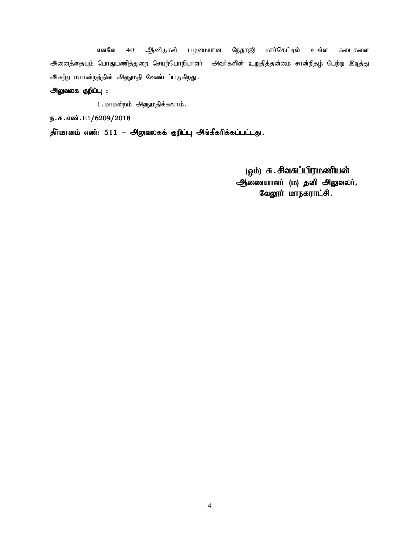எனவே 40 ஆண்டுகள் பழமையான நேதாஜி மார்கெட்டில் உள்ள கடைகளை அனைத்தையும் பொதுபணித்துறை செயற்பொறியாளர் அவர்களின் உறுதித்தன்மை சான்றிதழ் பெற்று இடித்து அகற்ற மாமன்றத்தின் அனுமதி வேண்டப்படுகிறது.

# அலுவலக குறிப்பு :

1. மாமன்றம் அனுமதிக்கலாம்.

ந.க.எண்.E1/6209/2018

 $j$ ரீர்மானம் எண்: 511 – அலுவலகக் குறிப்பு அங்கீகரிக்கப்பட்டது.

(ஒம்) சு. சிவசுப்பிரமணியன் ஆணையாளர் (ம) தனி அலுவலர், வேலூர் மாநகராட்சி.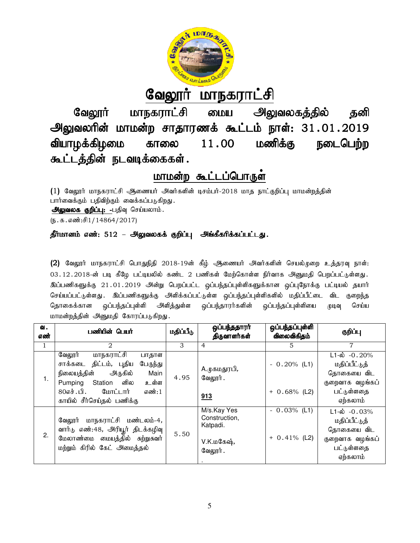

# <u>வேலூர் மாநகராட்சி</u>

வேலூர் மாநகராட்சி மைய அலுவலகத்தில் தனி அலுவலரின் மாமன்ற சாதாரணக் கூட்டம் நாள்: 31.01.2019 வியாழக்கிழமை காலை கூட்டத்தின் நடவடிக்கைகள்.  $11.00$  மணிக்கு வேலூர் மாநகராட்சி மைய அலுவலகத்தில் தனி<br>வலரின் மாமன்ற சாதாரணக் கூட்டம் நாள்: 31 . 01 . 2019<br>ழக்கிழமை காலை 11 . 00 மணிக்கு நடைபெற்ற

# மாமன்ற கூட்டப்பொருள்

(1) வேலூர் மாநகராட்சி ஆணையர் அவர்களின் டிசம்பர்-2018 மாத நாட்குறிப்பு மாமன்றத்தின் பார்வைக்கும் பதிவிற்கும் வைக்கப்படுகிறது. அலுவலக குறிப்பு: -பதிவு செய்யலாம்.  $(5.5.5.5\cdot 1.4864/2017)$ 

# தீர்மானம் எண்: 512 – அலுவலகக் குறிப்பு அங்கீகரிக்கப்பட்டது.

(2) வேலூர் மாநகராட்சி பொதுநிதி 2018-19ன் கீழ் ஆணையர் அவர்களின் செயல்முறை உத்தரவு நாள்: 03 .12 .2018-ன் படி கீழே பட்டியலில் கண்ட 2 பணிகள் மேற்கொள்ள நிர்வாக அனுமதி பெறப்பட்டுள்ளது. இப்பணிகளுக்கு 21.01.2019 அன்று பெறப்பட்ட ஒப்பந்தப்புள்ளிகளுக்கான ஒப்புநோக்கு பட்டியல் தயார் செய்யப்பட்டுள்ளது . இப்பணிகளுக்கு அளிக்கப்பட்டுள்ள ஒப்பந்தப்புள்ளிகளில் மதிப்பீட்டை விட குறைந்த தொகைக்கான ஒப்பந்தப்புள்ளி அளித்துள்ள ஒப்பந்தாரர்களின் ஒப்பந்தப்புள்ளியை முடிவு செய்ய மாமன்றத்தின் அனுமதி கோரப்படுகிறது. ன் படி க்ழே பட்டியலில் கண்ட 2 பணிகள் மேற்கொள்ள நிர்வாக அனுமதி பெறப்பட்டுள்ள<br>த 21.01.2019 அன்று பெறப்பட்ட ஒப்பந்தப்புள்ளிகளுக்கான ஒப்புநோக்கு பட்டியல் தய<br>எது . இப்பணிகளுக்கு அளிக்கப்பட்டுள்ள ஒப்பந்தப்புள்ளிகளில் மதிப்பீட்ட கராடசி ஆணையா அவாகளின் டிசம்பா-2018 மாத நாட்குறிப்பு மாமன்றத்தின்<br>ஆர்கும் வைக்கப்படுகிறது.<br><u>4</u>: -பதிவு செய்யலாம்.<br>1864/2017)<br>51**2 – அலுவலகக் குறிப்பு - அங்கீகரிக்கப்பட்டது.**<br>நகராட்சி பொதுநிதி 2018-19ன் கீழ் - ஆணையர் - அவர்

| வ.<br>எண் | பணியின் பெயர்                                                                                                                                                                                               | மதிப்பீடு | ஒப்பந்ததாரா்<br>திருவாளர்கள்                                      | ஒப்பந்தப்புள்ளி<br>விலைவிகிதம்    | குறிப்பு                                                                                                 |
|-----------|-------------------------------------------------------------------------------------------------------------------------------------------------------------------------------------------------------------|-----------|-------------------------------------------------------------------|-----------------------------------|----------------------------------------------------------------------------------------------------------|
| 1         | 2                                                                                                                                                                                                           | 3         | $\overline{4}$                                                    | 5                                 | 7                                                                                                        |
| 1.        | மாநகராட்சி<br>வேலூர்<br>பாதாள<br>திட்டம், புதிய<br>பேருந்து<br>சாக்கடை<br>நிலையத்தின்<br>அருகில்<br>Main<br>னில<br>உள்ள<br>Station<br>Pumping<br>80எச்.பி. மோட்டார்<br>எண்: 1<br>காயில் சீர்செய்தல் பணிக்கு | 4.95      | A.முகமதுரபி,<br>வேலூர்.<br>913                                    | $-0.20\%$ (L1)<br>$+ 0.68\%$ (L2) | $L1-\dot{\omega}$ -0.20%<br>மதிப்பீட்டுத்<br>தொகையை விட<br>குறைவாக வழங்கப்<br>பட்டுள்ளதை<br>ஏற்கலாம்     |
| 2.        | வேலூர் மாநகராட்சி<br>மண்டலம்-4,<br>வார்டு எண்:48, அரியூர் திடக்கழிவு<br>மேலாண்மை மையத்தில் சுற்றுசுவர்<br>மற்றும் கிரில் கேட் அமைத்தல்                                                                      | 5.50      | M/s.Kay Yes<br>Construction,<br>Katpadi.<br>V.K.மகேஷ்,<br>வேலூர். | $-0.03%$ (L1)<br>$+ 0.41\%$ (L2)  | $L1 - \dot{\omega} - 0.03\%$<br>மதிப்பீட்டுத்<br>தொகையை விட<br>குறைவாக வழங்கப்<br>பட்டுள்ளதை<br>ஏற்கலாம் |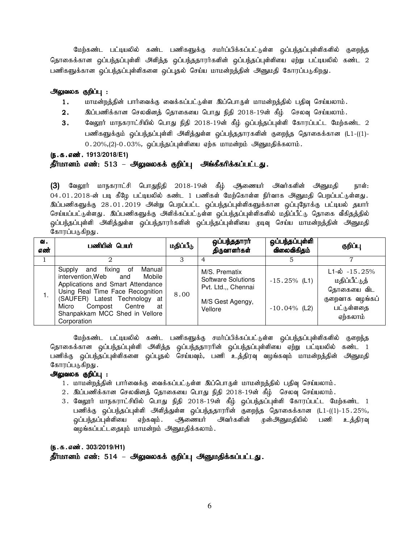மேற்கண்ட பட்டியலில் கண்ட பணிகளுக்கு சமர்ப்பிக்கப்பட்டுள்ள ஒப்பந்தப்புள்ளிகளில் குறைந்த தொகைக்கான ஒப்பந்தப்புள்ளி அளித்த ஒப்பந்ததாரர்களின் ஒப்பந்தப்புள்ளியை ஏற்று பட்டியலில் கண்ட 2 பணிகளுக்கான ஒப்பந்தப்புள்ளிகளை ஒப்புதல் செய்ய மாமன்றத்தின் அனுமதி கோரப்படுகிறது.

#### அலுவலக குறிப்பு :

- 1. மாமன்றத்தின் பார்வைக்கு வைக்கப்பட்டுள்ள இப்பொருள் மாமன்றத்தில் பதிவு செய்யலாம்.
- $2.$   $\;$  இப்பணிக்கான செலவினத் தொகையை பொது நிதி  $2018$ -19ன் கீழ் செலவு செய்யலாம்.
- 3. வேலூர் மாநகராட்சியில் பொது நிதி 2018-19ன் கீழ் ஒப்பந்தப்புள்ளி கோரப்பட்ட மேற்கண்ட 2 பணிகளுக்கும் ஒப்பந்தப்புள்ளி அளித்துள்ள ஒப்பந்ததாரகளின் குறைந்த தொகைக்கான (L1-((1)- $0.20\%,$ (2)- $0.03\%$ , ஒப்பந்தப்புள்ளியை ஏற்க மாமன்றம் அனுமதிக்கலாம்.

(ந.க.எண். 1913/2018/E1)

#### தீர்மானம் எண்: 513 – அலுவலகக் குறிப்பு அங்கீகரிக்கப்பட்டது.

(3) வேலூர் மாநகராட்சி பொதுநிதி 2018-19ன் கீழ் ஆணையர் அவர்களின் அனுமதி நாள்: 04.01.2018-ன் படி கீழே பட்டியலில் கண்ட 1 பணிகள் மேற்கொள்ள நிர்வாக அனுமதி பெறப்பட்டுள்ளது. இப்பணிகளுக்கு 28.01.2019 அன்று பெறப்பட்ட ஒப்பந்தப்புள்ளிகளுக்கான ஒப்புநோக்கு பட்டியல் தயார் செய்யப்பட்டுள்ளது . இப்பணிகளுக்கு அளிக்கப்பட்டுள்ள ஒப்பந்தப்புள்ளிகளில் மதிப்பீட்டு தொகை வீகிதத்தில் ஒப்பந்தப்புள்ளி அளித்துள்ள ஒப்பந்தாரர்களின் ஒப்பந்தப்புள்ளியை முடிவு செய்ய மாமன்றத்தின் அனுமதி கோரப்படுகி<u>றது</u> .

| வ.<br>எண் | பணியின் பெயர்                                                                                                                                                                                                                                                          | மதிப்பீடு | ஒப்பந்ததாரா்<br>திருவாளர்கள்                                                              | ஒப்பந்தப்புள்ளி<br>விலைவிகிதம்     | குறிப்பு                                                                                                |
|-----------|------------------------------------------------------------------------------------------------------------------------------------------------------------------------------------------------------------------------------------------------------------------------|-----------|-------------------------------------------------------------------------------------------|------------------------------------|---------------------------------------------------------------------------------------------------------|
|           |                                                                                                                                                                                                                                                                        |           |                                                                                           |                                    |                                                                                                         |
| ι.        | Manual<br>Supply<br>fixing of<br>and<br>intervention, Web and<br>Mobile<br>Applications and Smart Attendance<br>Using Real Time Face Recognition<br>(SAUFER) Latest Technology at<br>Micro<br>Centre<br>Compost<br>at<br>Shanpakkam MCC Shed in Vellore<br>Corporation | 8.00      | M/S. Prematix<br>Software Solutions<br>Pvt. Ltd.,, Chennai<br>M/S Gest Agengy,<br>Vellore | $-15.25\%$ (L1)<br>$-10.04\%$ (L2) | $L1-\dot{\omega} - 15.25\%$<br>மதிப்பீட்டுத்<br>தொகையை விட<br>குறைவாக வழங்கப்<br>பட்டுள்ளதை<br>ஏற்கலாம் |

மேற்கண்ட பட்டியலில் கண்ட பணிகளுக்கு சமர்ப்பிக்கப்பட்டுள்ள ஒப்பந்தப்புள்ளிகளில் குறைந்த தொகைக்கான ஒப்பந்தப்புள்ளி அளித்த ஒப்பந்ததாரரின் ஒப்பந்தப்புள்ளியை ஏற்று பட்டியலில் கண்ட 1 பணிக்கு ஒப்பந்தப்புள்ளிகளை ஒப்புதல் செய்யவும், பணி உத்திரவு வழங்கவும் மாமன்றத்தின் அனுமதி கோரப்படுகிறது.

#### அலுவலக குறிப்பு :

- 1. மாமன்றத்தின் பார்வைக்கு வைக்கப்பட்டுள்ள இப்பொருள் மாமன்றத்தில் பதிவு செய்யலாம்.
- 2. இப்பணிக்கான செலவினத் தொகையை பொது நிதி 2018-19ன் கீழ் செலவு செய்யலாம்.
- 3. வேலூர் மாநகராட்சியில் பொது நிதி 2018-19ன் கீழ் ஒப்பந்தப்புள்ளி கோரப்பட்ட மேற்கண்ட 1 பணிக்கு ஒப்பந்தப்புள்ளி அளித்துள்ள ஒப்பந்ததாரரின் குறைந்த தொகைக்கான (L1-((1)-15.25%, <u>ஒ</u>ப்பந்தப்புள்ளியை ஏற்கவும். ஆணையர் அவர்களின் முன்அனுமதியில் பணி உத்திரவு வழங்கப்பட்டதையும் மாமன்றம் அனுமதிக்கலாம்.

#### (ந.க.எண். 303/2019/H1)

தீர்மானம் எண்: 514 – அலுவலகக் குறிப்பு அனுமதிக்கப்பட்டது.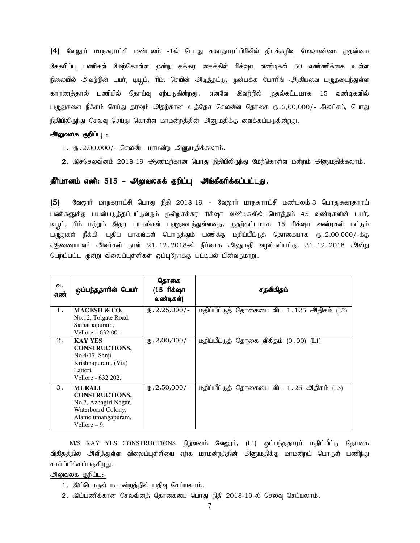(4) வேலூர் மாநகராட்சி மண்டலம் -1ல் பொது சுகாதாரப்பிரிவில் திடக்கழிவு மேலாண்மை முதன்மை சேகரிப்பு பணிகள் மேற்கொள்ள முன்று சக்கர சைக்கிள் ரிக்ஷா வண்டிகள் 50 எண்ணிக்கை உள்ள நிலையில் அவற்றின் டயர், டியூப், ரிம், செயின் அடித்தட்டு, முன்பக்க போரிங் ஆகியவை பழுதடைந்துள்ள காரணத்தால் பணியில் தொய்வு ஏற்படுகின்றது. எனவே இவற்றில் முதல்கட்டமாக 15 வண்டிகளில் பமுதுகளை நீக்கம் செய்து தரவும் அதற்கான உத்தேச செலவின தொகை ரூ.2,00,000/- இலட்சம், பொது நிதியிலிருந்து செலவு செய்து கொள்ள மாமன்றத்தின் அனுமதிக்கு வைக்கப்படுகின்றது.

#### அலுவலக குறிப்பு :

- $1.$  ரூ. 2,00,000/- செலவிட மாமன்ற அனுமதிக்கலாம்.
- 2. இச்செலவினம் 2018-19 ஆண்டிற்கான பொது நிதியிலிருந்து மேற்கொள்ள மன்றம் அனுமதிக்கலாம்.

#### **தீர்மானம் எண்: 515 – அலுவலகக் குறிப்பு அங்கீகரிக்கப்பட்டது.**

(5) வேலூர் மாநகராட்சி பொது நிதி 2018-19 – வேலூர் மாநகராட்சி மண்டலம்-3 பொதுசுகாதாரப் பணிகளுக்கு பயன்படுத்தப்பட்டுவரும் முன்றுசக்கர ரிக்ஷா வண்டிகளில் மொத்தம் 45 வண்டிகளின் டயர், டீயூப், ரிம் மற்றும் இதர பாகங்கள் பழுதடைந்துள்ளதை, முதற்கட்டமாக 15 ரிக்ஷா வண்டிகள் மட்டும் பழுதுகள் நீக்கி, புதிய பாகங்கள் பொருத்தும் பணிக்கு மதிப்பீட்டுத் தொகையாக ரு.2,00,000/-க்கு ஆணையாளர் அவர்கள் நாள் 21.12.2018-ல் நிர்வாக அனுமதி வழங்கப்பட்டு, 31.12.2018 அன்று பெறப்பட்ட முன்று விலைப்புள்ளிகள் ஒப்புநோக்கு பட்டியல் பின்வருமாறு.

| ഖ.<br>எண் | ஒப்பந்ததாரின் பெயர்                                                                                                           | தொகை<br>(15 ரிக்ஷா<br>வண்டிகள்) | சதவிகிதம்                                  |
|-----------|-------------------------------------------------------------------------------------------------------------------------------|---------------------------------|--------------------------------------------|
| 1.        | MAGESH & CO.<br>No.12, Tolgate Road,<br>Sainathapuram,<br>Vellore $-632001$ .                                                 | $_{66}.2,25,000/$ -             | மதிப்பீட்டுத் தொகையை விட 1.125 அதிகம் (L2) |
| 2.        | <b>KAY YES</b><br><b>CONSTRUCTIONS,</b><br>No.4/17, Senji<br>Krishnapuram, (Via)<br>Latteri.<br>Vellore - 632 202.            | $_{(1)}$ , 2,00,000/-           | மதிப்பீட்டுத் தொகை விகிதம் (0.00) (L1)     |
| 3.        | <b>MURALI</b><br><b>CONSTRUCTIONS,</b><br>No.7, Azhagiri Nagar,<br>Waterboard Colony,<br>Alamelumangapuram,<br>Vellore $-9$ . | $_{(1)}$ , 2,50,000/-           | மதிப்பீட்டுத் தொகையை விட 1.25 அதிகம் (L3)  |

M/S KAY YES CONSTRUCTIONS நிறுவனம் வேலூர், (L1) ஒப்பந்ததாரர் மதிப்பீட்டு தொகை விகிதத்தில் அிளித்துள்ள விலைப்புள்ளியை ஏற்க மாமன்றத்தின் அனுமதிக்கு மாமன்றப் பொருள் பணிந்து சமர்ப்பிக்கப்படுகிறது.

# அலுவலக குறிப்பு:-

- 1. இப்பொருள் மாமன்றத்தில் பதிவு செய்யலாம்.
- $2.$  இப்பணிக்கான செலவினத் தொகையை பொது நிதி  $2018$ -19-ல் செலவு செய்யலாம்.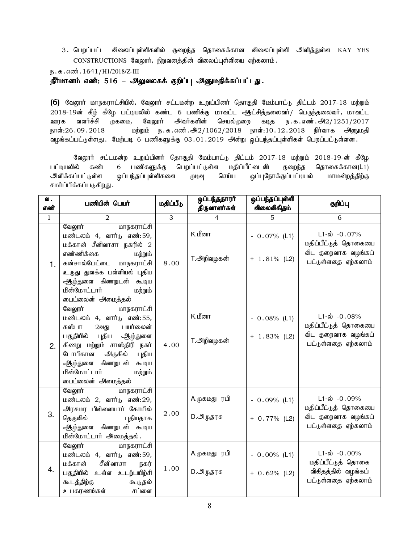3. பெறப்பட்ட விலைப்புள்ளிகளில் குறைந்த தொகைக்கான விலைப்புள்ளி அளித்துள்ள KAY YES  $CONSTRUCTIONS$  வேலூர், நிறுவனத்தின் விலைப்புள்ளியை ஏற்கலாம்.

ந.க.எண். 1641/H1/2018/Z-III

தீர்மானம் எண்: 516 – அலுவலகக் குறிப்பு அனுமதிக்கப்பட்டது.

(6) வேலூர் மாநகராட்சியில், வேலூர் சட்டமன்ற உறுப்பினர் தொகுதி மேம்பாட்டு திட்டம் 2017-18 மற்றும் 2018-19ன் கீழ் கீழே பட்டியலில் கண்ட 6 பணிக்கு மாவட்ட ஆட்சித்தலைவர்/ பெருந்தலைவர், மாவட்ட ஊரக வளர்ச்சி முகமை, வேலூர் அவர்களின் செயல்முறை கடித ந.க.எண்.அ2/1251/2017 நாள்:26.09.2018 மற்றும் ந.க.எண்.அ2/1062/2018 நாள்:10.12.2018 நிர்வாக அனுமதி வழங்கப்பட்டுள்ளது. மேற்படி 6 பணிகளுக்கு 03.01.2019 அன்று ஒப்பந்தப்புள்ளிகள் பெறப்பட்டுள்ளன.

வேலூர் சட்டமன்ற உறுப்பினர் தொகுதி மேம்பாட்டு திட்டம் 2017-18 மற்றும் 2018-19-ன் கீழே பட்டியலில் கண்ட 6 பணிகளுக்கு பெறப்பட்டுள்ள மதிப்பீட்டைவிட குறைந்த தொகைக்கான(L1) அளிக்கப்பட்டுள்ள ஒப்பந்தப்புள்ளிகளை முடிவு செய்ய ஒப்புநோக்குப்பட்டியல் மாமன்றத்திற்கு சமர்ப்பிக்கப்படுகிறது.

| <b>ଧା.</b><br>எண் | பணியின் பெயர்                                                                                                                                                                                                                                     | மதிப்பீடு | ஒப்பந்ததாரர்<br>திருவாளர்கள்       | ஒப்பந்தப்புள்ளி<br>விலைவிகிதம்    | குறிப்பு                                                                                       |
|-------------------|---------------------------------------------------------------------------------------------------------------------------------------------------------------------------------------------------------------------------------------------------|-----------|------------------------------------|-----------------------------------|------------------------------------------------------------------------------------------------|
| $\mathbf{1}$      | $\overline{2}$                                                                                                                                                                                                                                    | 3         | $\overline{4}$                     | $\overline{5}$                    | 6                                                                                              |
| 1.                | வேலூர்<br>மாநகராட்சி<br>மண்டலம் 4, வார்டு எண்:59,<br>மக்கான் சீனிவாசா நகரில் 2<br>எண்ணிக்கை<br>மற்றும்<br>கன்சால்பேட்டை மாநகராட்சி<br>உருது துவக்க பள்ளியல் புதிய<br>ஆழ்துளை கிணறுடன் கூடிய<br>மின்மோட்டார்<br>மற்றும்<br>டைப்லைன் அமைத்தல்       | 8.00      | K.மீனா<br>T.அறிவழகன்               | $-0.07\%$ (L1)<br>$+ 1.81\%$ (L2) | $L1-\omega -0.07%$<br>மதிப்பீட்டுத் தொகையை<br>விட குறைவாக வழங்கப்<br>பட்டுள்ளதை ஏற்கலாம்       |
| 2.                | வேலூர்<br>மாநகராட்சி<br>மண்டலம் 4, வார்டு எண்:55,<br>கஸ்பா<br>பயர்லைன்<br>2வது<br>பகுதியில் புதிய ஆழ்துளை<br>கிணறு மற்றும் சாஸ்திரி நகர்<br>டோபிகான<br>அருகில்<br>புதிய<br>ஆழ்துளை கிணறுடன் கூடிய<br>மின்மோட்டார்<br>மற்றும்<br>டைப்லைன் அமைத்தல் | 4.00      | K.மீனா<br>T.அறிவழகன்               | $-0.08\%$ (L1)<br>$+ 1.83\%$ (L2) | $L1-\omega$ -0.08%<br>மதிப்பீட்டுத் தொகையை<br>விட குறைவாக வழங்கப்<br>பட்டுள்ளதை ஏற்கலாம்       |
| 3.                | வேலூர்<br>மாநகராட்சி<br>மண்டலம் 2, வார்டு எண்:29,<br>அரசமர பிள்ளையார் கோயில்<br>தெருவில்<br>புதியதாக<br>ஆழ்துளை கிணறுடன் கூடிய<br>மின்மோட்டார் அமைத்தல்.                                                                                          | 2.00      | A.முகமது ரபி<br>D. <i>அ</i> முதரசு | $-0.09%$ (L1)<br>$+ 0.77\%$ (L2)  | $L1-\dot{\omega}$ -0.09%<br>மதிப்பீட்டுத் தொகையை<br>விட குறைவாக வழங்கப்<br>பட்டுள்ளதை ஏற்கலாம் |
| $\overline{4}$ .  | வேலூர்<br>மாநகராட்சி<br>மண்டலம் 4, வார்டு எண்:59,<br>மக்கான்<br>சீனிவாசா<br>நகர்<br>பகுதியில் உள்ள உடற்பயிற்சி<br>கூடத்திற்கு<br>கூடுதல்<br>உபகரணங்கள்<br>சப்ளை                                                                                   | 1.00      | A.முகமது ரபி<br>D.அழுதரசு          | $-0.00\%$ (L1)<br>$+ 0.62%$ (L2)  | $L1-\omega$ -0.00%<br>மதிப்பீட்டுத் தொகை<br>விகிதத்தில் வழங்கப்<br>பட்டுள்ளதை ஏற்கலாம்         |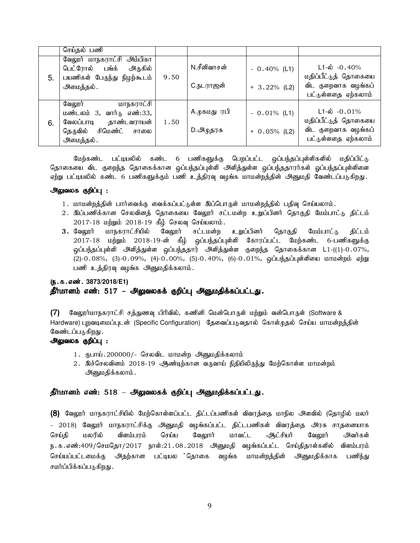|    | செய்தல் பணி                                                                                                                    |      |                           |                                   |                                                                                                    |
|----|--------------------------------------------------------------------------------------------------------------------------------|------|---------------------------|-----------------------------------|----------------------------------------------------------------------------------------------------|
| 5. | வேலூர் மாநகராட்சி அம்பிகா<br>பெட்ரோல் பங்க்<br>அருகில்<br>பயணிகள் பேருந்து நிழற்கூடம்<br>அமைத்தல்.                             | 9.50 | N.சீனிவாசன்<br>С.ந∟ராஜன்  | $-0.40\%$ (L1)<br>$+ 3.22%$ (L2)  | $L1 - \dot{\omega} - 0.40\%$<br>மதிப்பீட்டுத் தொகையை<br>விட குறைவாக வழங்கப்<br>பட்டுள்ளதை ஏற்கலாம் |
| 6. | <u>மாநகராட்சி</u><br>வேலூர்<br>மண்டலம் 3, வார்டு எண்:33,<br>வேலப்பாடி<br>தாண்டவராயன்<br>தெருவில் சிமெண்ட்<br>சாலை<br>அமைத்தல். | 1.50 | A.முகமது ரபி<br>D.அமுதரசு | $-0.01\%$ (L1)<br>$+ 0.05\%$ (L2) | $L1-\omega$ -0.01%<br>மதிப்பீட்டுத் தொகையை<br>விட குறைவாக வழங்கப்<br>பட்டுள்ளதை ஏற்கலாம்           |

மேற்கண்ட பட்டியலில் கண்ட 6 பணிகளுக்கு பெறப்பட்ட ஒப்பந்தப்புள்ளிகளில் மதிப்பிட்டு தொகையை விட குறைந்த தொகைக்கான ஒப்பந்தப்புள்ளி அளித்துள்ள ஒப்பந்ததாரா்கள் ஓப்பந்தப்புள்ளிளை ஏற்று பட்டியலில் கண்ட 6 பணிகளுக்கும் பணி உத்திரவு வழங்க மாமன்றத்தின் அனுமதி வேண்டப்படுகிறது.

#### அலுவலக குறிப்பு :

- 1. மாமன்றத்தின் பார்வைக்கு வைக்கப்பட்டுள்ள இப்பொருள் மாமன்றத்தில் பதிவு செய்யலாம்.
- 2. இப்பணிக்கான செலவினத் தொகையை வேலூர் சட்டமன்ற உறுப்பினர் தொகுதி மேம்பாட்டு திட்டம்  $2017-18$  மற்றும்  $2018-19$  கீழ் செலவு செய்யலாம்.
- 3. வேலூர் மாநகராட்சியில் வேலூர் சட்டமன்ற உறுப்பினர் தொகுதி மேம்பாட்டு திட்டம் 2017-18 மற்றும் 2018-19-ன் கீழ் ஒப்பந்தப்புள்ளி கோரப்பட்ட மேற்கண்ட 6-பணிகளுக்கு <u>ஒ</u>ப்பந்தப்புள்ளி அளித்துள்ள ஒப்பந்ததார் அளித்துள்ள குறைந்த தொகைக்கான L1-((1)-0.07%, (2)-0.08%, (3)-0.09%, (4)-0.00%, (5)-0.40%, (6)-0.01%, ஒப்பந்தப்புள்ளியை மாமன்றம் ஏற்று பணி உத்திரவு வழங்க அனுமதிக்கலாம்.

# (ந.க.எண். 3873/2018/E1) தீர்மானம் எண்: 517 – அலுவலகக் குறிப்பு அனுமதிக்கப்பட்டது.

 $(7)$  B வலூர்மாநகராட்சி சத்துணவு பிரிவில், கணினி மென்பொருள் மற்றும் வன்பொருள் (Software & Hardware) புறவடிமைப்புடன் (Specific Configuration) தேவைப்படுவதால் கொள்ருதல் செய்ய மாமன்றத்தின் வேண்டப்படுகிறது .

# அலுவலக குறிப்பு :

- 1. ரூபாய்.200000/- செலவிட மாமன்ற அனுமதிக்கலாம்
- $2.$  இச்செலவினம்  $2018\text{-}19$  ஆண்டிற்கான வருவாய் நிதியிலிருந்து மேற்கொள்ள மாமன்றம் அனுமதிக்கலாம்.

# தீர்மானம் எண்: 518 – அலுவலகக் குறிப்பு அனுமதிக்கப்பட்டது.

(8) வேலூர் மாநகராட்சியில் மேற்கொள்ளப்பட்ட திட்டப்பணிகள் விவரத்தை மாநில அளவில் (தொழில் மலர் - 2018) வேலூர் மாநகராட்சிக்கு அனுமதி வழங்கப்பட்ட திட்டபணிகள் விவரத்தை அரசு சாதனையாக செய்தி மலரில் விளம்பரம் செய்ய வேலூார் மாவட்ட ஆட்சியா் வேலூா் அவர்கள் ந.க.எண்:409/செமதொ/2017 நாள்:21.08.2018 அனுமதி வழங்கப்பட்ட செய்திதாள்களில் விளம்பரம் செய்யப்பட்டமைக்கு அதற்கான பட்டியல தொகை வழங்க மாமன்றத்தின் அனுமதிக்காக பணிந்து சமர்ப்பிக்கப்படுகிறது .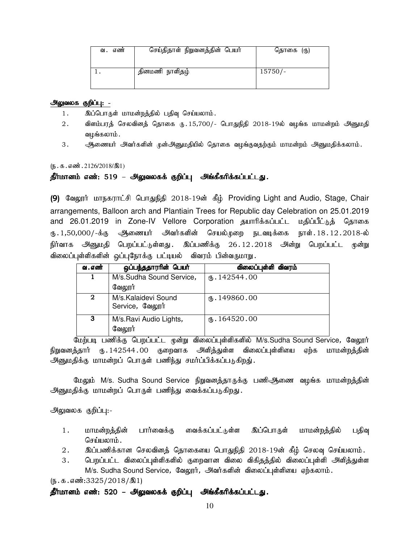| எண்<br>ഖ. | செய்திதாள் நிறுவனத்தின் பெயர் | தொகை (ரு) |
|-----------|-------------------------------|-----------|
|           | தினமணி நாளிதழ்                | $15750/-$ |

#### அலுவலக குறிப்பு: -

- 1. இப்பொருள் மாமன்றத்தில் பதிவு செய்யலாம்.
- 2. விளம்பரத் செலவினத் தொகை ரு. 15,700/- பொதுநிதி 2018-19ல் வழங்க மாமன்றம் அனுமதி வமங்கலாம் .
- 3. அணையர் அவர்களின் முன்அனுமதியில் தொகை வழங்குவதற்கும் மாமன்றம் அனுமதிக்கலாம்.

 $(5.5.5.5\ldots)(5.2126/2018/31)$ 

#### தீர்மானம் எண்: 519 – அலுவலகக் குறிப்பு அங்கீகரிக்கப்பட்டது.

(9) வேலூர் மாநகராட்சி பொதுநிதி 2018-19ன் கீழ் Providing Light and Audio, Stage, Chair arrangements, Balloon arch and Plantiain Trees for Republic day Celebration on 25.01.2019 and 26.01.2019 in Zone-IV Vellore Corporation தயாரிக்கப்பட்ட மதிப்பீட்டுத் தொகை U}.1,50,000/-f;F Mizah; mth;fspd; bray;Kiw eltof;if ehs;.18.12.2018-y; நிர்வாக அனுமதி பெறப்பட்டுள்ளது. இப்பணிக்கு 26.12.2018 அன்று பெறப்பட்ட முன்று விலைப்புள்ளிகளின் ஒப்புநோக்கு பட்டியல் விவரம் பின்வருமாறு.

| வ . எண்      | ஒப்பந்ததாரரின் பெயர்                   | விலைப்புள்ளி விவரம்        |
|--------------|----------------------------------------|----------------------------|
|              | M/s.Sudha Sound Service,               | $\mathbf{0}.142544.00$     |
|              | வேலூர்                                 |                            |
| $\mathbf{2}$ | M/s.Kalaidevi Sound<br>Service, வேலூர் | $\mathfrak{g}$ . 149860.00 |
| 3            | M/s.Ravi Audio Lights,<br>வேலூர்       | (B.164520.00)              |

மேற்படி பணிக்கு பெறப்பட்ட முன்று விலைப்புள்ளிகளில் M/s.Sudha Sound Service, வேலூர் நிறுவனத்தார் ரு.142544.00 குறைவாக அளித்துள்ள விலைப்புள்ளியை ஏற்க மாமன்றத்தின் அனுமதிக்கு மாமன்றப் பொருள் பணிந்து சமர்ப்பிக்கப்படுகிறது்.

மேலும் M/s. Sudha Sound Service நிறுவனத்தாருக்கு பணிஆணை வழங்க மாமன்றத்தின் அனுமதிக்கு மாமன்றப் பொருள் பணிந்து வைக்கப்படுகிறது.

#### அலுவலக குறிப்பு:-

- 1. மாமன்றத்தின் பார்வைக்கு வைக்கப்பட்டுள்ள இப்பொருள் மாமன்றத்தில் பதிவு செய்யலாம்.
- 2. ng;gzpf;fhd brytpdj; bjhifia bghJepjp 2018-19d; fPH; bryt[ bra;ayhk;.
- 3. பெறப்பட்ட விலைப்புள்ளிகளில் குறைவான விலை விகிதத்தில் விலைப்புள்ளி அளித்துள்ள M/s. Sudha Sound Service, வேலூர், அவர்களின் விலைப்புள்ளியை ஏற்கலாம்.

 $(5.5.5.5\cdot 3325/2018/\text{R}1)$ 

தீர்மானம் எண்: 520 – அலுவலகக் குறிப்பு அங்கீகரிக்கப்பட்டது.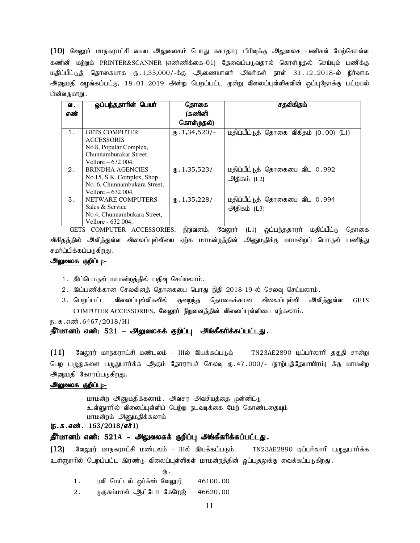$(10)$  வேலூர் மாநகராட்சி மைய அலுவலகம் பொது சுகாதார பிரிவுக்கு அலுவலக பணிகள் மேற்கொள்ள கணினி மற்றும் PRINTER&SCANNER (எண்ணிக்கை-01) தேவைப்படுவதால் கொள்முதல் செய்யும் பணிக்கு மதிப்பீட்டுத் தொகையாக ரு.1,35,000/-க்கு ஆணையாளர் அவர்கள் நாள் 31.12.2018-ல் நிர்வாக அனுமதி வழங்கப்பட்டு, 18.01.2019 அன்று பெறப்பட்ட முன்று விலைப்புள்ளிகளின் ஒப்புநோக்கு பட்டியல் பின்வருமாறு .

| ഖ.<br>எண் | ஒப்பந்ததாரின் பெயர்          | தொகை<br>(கணினி<br>கொள்முதல்) | சதவிகிதம்                              |
|-----------|------------------------------|------------------------------|----------------------------------------|
| 1.        | <b>GETS COMPUTER</b>         | $\text{I}$ , 1,34,520/-      | மதிப்பீட்டுத் தொகை விகிதம் (0.00) (L1) |
|           | <b>ACCESSORIS</b>            |                              |                                        |
|           | No.8, Popular Complex,       |                              |                                        |
|           | Chunnamburakar Street.       |                              |                                        |
|           | Vellore $-632004$ .          |                              |                                        |
| 2.        | <b>BRINDHA AGENCIES</b>      | $\omega$ . 1,35,523/-        | மதிப்பீட்டுத் தொகையை விட 0.992         |
|           | No.15, S.K. Complex, Shop    |                              | அதிகம் (L2)                            |
|           | No. 6, Chunnambukara Street, |                              |                                        |
|           | Vellore $-632004$ .          |                              |                                        |
| 3.        | NETWARE COMPUTERS            | $\omega$ . 1,35,228/-        | மதிப்பீட்டுத் தொகையை விட 0.994         |
|           | Sales & Service              |                              | அதிகம் (L3)                            |
|           | No.4, Chunnambukara Street,  |                              |                                        |
|           | Vellore - 632 004.           |                              |                                        |

GETS COMPUTER ACCESSORIES, நிறுவனம், வேலூர் (L1) ஒப்பந்ததாரர் மதிப்பீட்டு தொகை விகிதத்தில் அளித்துள்ள விலைப்புள்ளியை ஏற்க மாமன்றத்தின் அனுமதிக்கு மாமன்றப் பொருள் பணிந்து சமர்ப்பிக்கப்படுகிறது .

#### அலுவலக குறிப்பு:-

- 1. இப்பொருள் மாமன்றத்தில் பதிவு செய்யலாம்.
- 2. இப்பணிக்கான செலவினத் தொகையை பொது நிதி 2018-19-ல் செலவு செய்யலாம்.
- 3. பெறப்பட்ட விலைப்புள்ளிகளில் குறைந்த தொகைக்கான விலைப்புள்ளி அளித்துள்ள GETS COMPUTER ACCESSORIES, வேலூர் நிறுவனத்தின் விலைப்புள்ளியை ஏற்கலாம்.

ந.க.எண். 6467/2018/H1

# தீர்மானம் எண்: 521 – அலுவலகக் குறிப்பு அங்கீகரிக்கப்பட்டது.

 $(11)$  வேலூர் மாநகராட்சி மண்டலம் - IIIல் இயக்கப்படும் TN23AE2890 டிப்பர்லாரி தகுதி சான்று பெற பழுதுகளை பழுதுபார்க்க ஆகும் தோராயச் செலவு ரு. 47 . 000/- (நாற்பத்தேயாயிரம்) க்கு மாமன்ற அனுமதி கோரப்படுகிறது.

#### அலுவலக குறிப்பு:-

மாமன்ற அனுமதிக்கலாம். அவசா அவசியக்கை முன்னிட்டு உள்ளுாரில் விலைப்புள்ளிப் பெற்று நடவடிக்கை மேற் கொண்டதையும் மாமன்றம் அனுமதிக்கலாம்

# $(5.5.5 \cdot \text{m} \cdot \text{m} \cdot 163/2018/\text{m} \cdot \text{m} \cdot 1)$

# தீர்மா<mark>னம் எண்: 521A – அலுவலகக் குறிப்பு அங்கீகரிக்கப்பட்டது.</mark>

(12) BtY]u; khefuhl;rp kz;lyk; - IIIy; naf;fg;gLk; TN23AE2890 og;gh;yhhp gGJghh;f;f உள்ளுாரில் பெறப்பட்ட இரண்டு விலைப்புள்ளிகள் மாமன்றத்தின் ஒப்புதலுக்கு வைக்கப்படுகிறது.

- $\mathbf{\Phi}$ .
	- $1.$  ரவி மெட்டல் ஒர்க்ஸ் வேலூர் 46100.00
	- 2. முருகம்மாள் <u>ஆட்டோ</u> கேரேஜ் 46620.00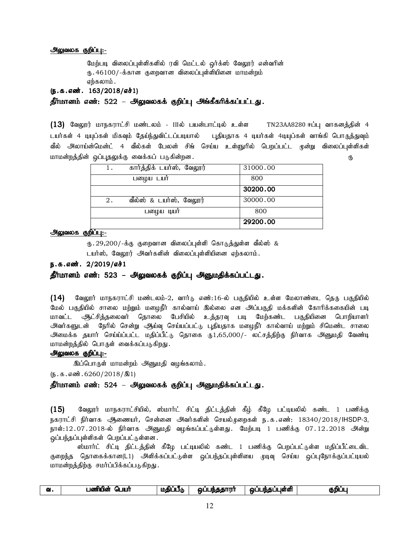#### அலுவலக குறிப்பு:-

மேற்படி விலைப்புள்ளிகளில் ரவி மெட்டல் ஒர்க்ஸ் வேலூர் என்வரின் ரு. 46100/-க்கான குறைவான விலைப்புள்ளியினை மாமன்றம் எற்கலாம்.

(ந.க.எண். 163/2018/எச்1)

தீர்மானம் எண்: 522 – அலுவலகக் குறிப்பு அங்கீகரிக்கப்பட்டது.

 $(13)$  வேலூர் மாநகராட்சி மண்டலம் - IIIல் பயன்பாட்டில் உள்ள TN23AA8280 ஈப்பு வாகனத்தின் 4 டயர்கள் 4 டியுப்கள் மிகவும் தேய்ந்துவிட்டப்படியால் புதியதாக 4 டியர்கள் 4டியுப்கள் வாங்கி பொருத்துவும் வீல் அலாய்ன்மென்ட் 4 வீல்கள் பேலன் சிங் செய்ய உள்ளுரில் பெறப்பட்ட முன்று விலைப்புள்ளிகள் khkd;wj;jpd; xg;g[jYf;F itf;fg; gLfpd;wd. U}

|    |                           | 29200.00 |  |
|----|---------------------------|----------|--|
|    | பழைய டியர்                | 800      |  |
| 2. | வீல்ஸ் & டயர்ஸ், வேலூர்   | 30000.00 |  |
|    |                           | 30200.00 |  |
|    | பலழ்ய டயர்                | 800      |  |
| ı. | கார்த்திக் டயர்ஸ், வேலூர் | 31000.00 |  |

### <u>அலுவலக குறிப்பு:-</u>

 $_{\text{fb}}$ .29,200/-க்கு குறைவான விலைப்புள்ளி கொடுத்துள்ள வீல்ஸ் &

டயர்ஸ், வேலூர் அவர்களின் விலைப்புள்ளியினை ஏற்கலாம்.

## ந.க.எண். 2/2019/எச்1

# தீர்மானம் எண்: 523 – அலுவலகக் குறிப்பு அனுமதிக்கப்பட்டது.

 $(14)$  B்வலூர் மாநகராட்சி மண்டலம்-2, வார்டு எண்:16-ல் பகுதியில் உள்ள மேலாண்டை தெரு பகுதியில் மேல் பகுதியில் சாலை மற்றும் மழைநீர் கால்வாய் இல்லை என அப்பகுதி மக்களின் கோரிக்ககையின் படி மாவட்ட ஆட்சித்தலைவர் தொலை பேசியில் உத்தரவு படி மேற்கண்ட பகுதியினை பொறியாளர் அவர்களுடன் நேரில் சென்று ஆய்வு செய்யப்பட்டு புதியதாக மழைநீர் கால்வாய் மற்றும் சிமெண்ட சாலை அமைக்க தயார் செய்ய்ப்பட்ட மதிப்பீட்டு தொகை ந1,65,000/- லட்சத்திற்கு நிர்வாக அனுமதி வேண்டி மாமன்றத்தில் பொருள் வைக்கப்படுகிறது.

#### அலுவலக குறிப்பு:-

இப்பொருள் மாமன்றம் அனுமதி வழங்கலாம்.

 $(5.5.5.5\ldots, 6260/2018/\text{R})$ 

# தீர்மானம் எண்: 524 – அலுவலகக் குறிப்பு அனுமதிக்கப்பட்டது.

 $(15)$  வேலூர் மாநகராட்சியில், ஸ்மார்ட் சிட்டி திட்டத்தின் கீழ் கீழே பட்டியலில் கண்ட 1 பணிக்கு நகராட்சி நிர்வாக அணையர், சென்னை அவர்களின் செயல்முறைகள் ந.க.எண்: 18340/2018/IHSDP-3, நாள்:12.07.2018-ல் நிர்வாக அனுமதி வழங்கப்பட்டுள்ளது. மேற்படி 1 பணிக்கு 07.12.2018 அன்று ஒப்பந்தப்புள்ளிகள் பெறப்பட்டுள்ளன.

ஸ்மார்ட் சிட்டி திட்டத்தின் கீழே பட்டியலில் கண்ட 1 பணிக்கு பெறப்பட்டுள்ள மதிப்பீட்டைவிட குறை<mark>ந்த தொகைக்கான(L1) அளிக்கப்பட்டுள்ள ஒப்பந்தப்புள்ளியை முடிவு செய்ய ஒப்புநோக்குப்பட்டியல்</mark> மாமன்றத்திற்கு சமர்ப்பிக்கப்படுகிறது.

| 631 | பயர்<br>ımil<br>- -<br>.പഞ<br>w | æ<br>INÆ<br>⊥ut | ககாார்<br>∬ჩტნქ<br>ഖ | ____<br>- - -<br>பள்ள்<br>$- -$<br>лѣ Ф<br>ഔ | குறிட்<br>'n |
|-----|---------------------------------|-----------------|----------------------|----------------------------------------------|--------------|
|-----|---------------------------------|-----------------|----------------------|----------------------------------------------|--------------|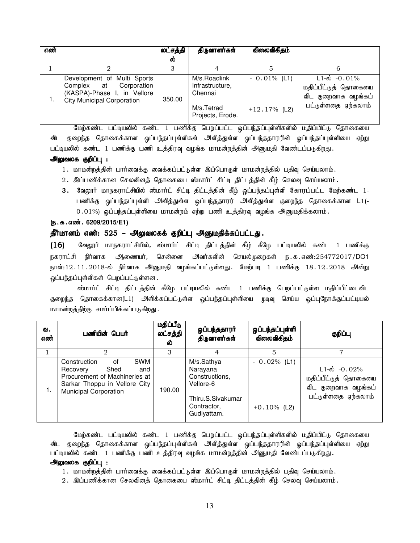| எண் |                                                                                                                              | லட்சத்தி<br>ல் | திருவாளர்கள்                                                                 | விலைவிகிதம்                      |                                                                                                |
|-----|------------------------------------------------------------------------------------------------------------------------------|----------------|------------------------------------------------------------------------------|----------------------------------|------------------------------------------------------------------------------------------------|
|     |                                                                                                                              |                |                                                                              |                                  |                                                                                                |
|     | Development of Multi Sports<br>Complex at<br>Corporation<br>(KASPA)-Phase I, in Vellore<br><b>City Municipal Corporation</b> | 350.00         | M/s.Roadlink<br>Infrastructure,<br>Chennai<br>M/s.Tetrad<br>Projects, Erode. | $-0.01\%$ (L1)<br>$+12.17%$ (L2) | $L1-\dot{\omega}$ -0.01%<br>மதிப்பீட்டுத் தொகையை<br>விட குறைவாக வழங்கப்<br>பட்டுள்ளதை ஏற்கலாம் |

மேற்கண்ட பட்டியலில் கண்ட 1 பணிக்கு பெறப்பட்ட ஒப்பந்தப்புள்ளிகளில் மதிப்பிட்டு தொகையை விட குறைந்த தொகைக்கான ஒப்பந்தப்புள்ளிகள் அளித்துள்ள ஒப்பந்ததாரரின் ஓப்பந்தப்புள்ளியை ஏற்று பட்டியலில் கண்ட 1 பணிக்கு பணி உத்திரவு வழங்க மாமன்றத்தின் அனுமதி வேண்டப்படுகிறது.

#### அலுவலக குறிப்பு :

- 1. மாமன்றத்தின் பார்வைக்கு வைக்கப்பட்டுள்ள இப்பொருள் மாமன்றத்தில் பதிவு செய்யலாம்.
- 2. இப்பணிக்கான செலவினத் தொகையை ஸ்மார்ட் சிட்டி திட்டத்தின் கீழ் செலவு செய்யலாம்.
- 3. வேலூர் மாநகராட்சியில் ஸ்மார்ட் சிட்டி திட்டத்தின் கீழ் ஒப்பந்தப்புள்ளி கோரப்பட்ட மேற்கண்ட 1-பணிக்கு ஒப்பந்தப்புள்ளி அளித்துள்ள ஒப்பந்ததாரர் அளித்துள்ள குறைந்த தொகைக்கான L1(- $0.01\%$ ) ஒப்பந்தப்புள்ளியை மாமன்றம் ஏற்று பணி உத்திரவு வழங்க அனுமதிக்கலாம்.

#### (**ந.க.எண். 6209/2015/E1**)

#### தீர்மானம் எண்: 525 – அலுவலகக் குறிப்பு அனுமதிக்கப்பட்டது.

(16) வேலூர் மாநகராட்சியில், ஸ்மார்ட் சிட்டி திட்டத்தின் கீழ் கீழே பட்டியலில் கண்ட 1 பணிக்கு நகராட்சி நிர்வாக <del>அ</del>ணையர், சென்னை அவர்களின் செயல்முறைகள் ந.க.எண்:254772017/DO1 நாள்:12.11.2018-ல் நிர்வாக அனுமதி வழங்கப்பட்டுள்ளது. மேற்படி 1 பணிக்கு 18.12.2018 அன்று ஒப்பந்தப்புள்ளிகள் பெறப்பட்டுள்ளன.

ஸ்மார்ட் சிட்டி திட்டத்தின் கீழே பட்டியலில் கண்ட 1 பணிக்கு பெறப்பட்டுள்ள மதிப்பீட்டைவிட குறைந்த தொகைக்கான(L1) அிிக்கப்பட்டுள்ள ஒப்பந்தப்புள்ளியை முடிவு செய்ய ஒப்புநோக்குப்பட்டியல் மாமன்றத்திற்கு சமர்ப்பிக்கப்படுகிறது.

| ഖ.<br>எண் | பணியின் பெயர்                                                                                                                                                 | மதிப்பீடு<br>லட்சத்தி<br>ல் | ஒப்பந்ததாரா்<br>திருவாளர்கள்                                                                             | ஒப்பந்தப்புள்ளி<br>விலைவிகிதம்   | குறிப்பு                                                                                       |
|-----------|---------------------------------------------------------------------------------------------------------------------------------------------------------------|-----------------------------|----------------------------------------------------------------------------------------------------------|----------------------------------|------------------------------------------------------------------------------------------------|
|           |                                                                                                                                                               | 3                           |                                                                                                          | 5                                |                                                                                                |
| 1.        | <b>SWM</b><br>Construction<br>οf<br>Shed<br>Recovery<br>and<br>Procurement of Machineries at<br>Sarkar Thoppu in Vellore City<br><b>Municipal Corporation</b> | 190.00                      | M/s.Sathya<br>Narayana<br>Constructions,<br>Vellore-6<br>Thiru.S.Sivakumar<br>Contractor,<br>Gudiyattam. | $-0.02\%$ (L1)<br>$+0.10\%$ (L2) | $L1-\dot{\omega}$ -0.02%<br>மதிப்பீட்டுத் தொகையை<br>விட குறைவாக வழங்கப்<br>பட்டுள்ளதை ஏற்கலாம் |

மேற்கண்ட பட்டியலில் கண்ட 1 பணிக்கு பெறப்பட்ட ஒப்பந்தப்புள்ளிகளில் மதிப்பிட்டு தொகையை விட குறைந்த தொகைக்கான ஒப்பந்தப்புள்ளிகள் அளித்துள்ள ஒப்பந்ததாரரின் ஒப்பந்தப்புள்ளியை ஏற்று பட்டியலில் கண்ட 1 பணிக்கு பணி உத்திரவு வழங்க மாமன்றத்தின் அனுமதி வேண்டப்படுகிறது.

# அலுவலக குறிப்பு :

1. மாமன்றத்தின் பார்வைக்கு வைக்கப்பட்டுள்ள இப்பொருள் மாமன்றத்தில் பதிவு செய்யலாம்.

2 . இப்பணிக்கான செலவினத் தொகையை ஸ்மார்ட் சிட்டி திட்டத்தின் கீழ் செலவு செய்யலாம்.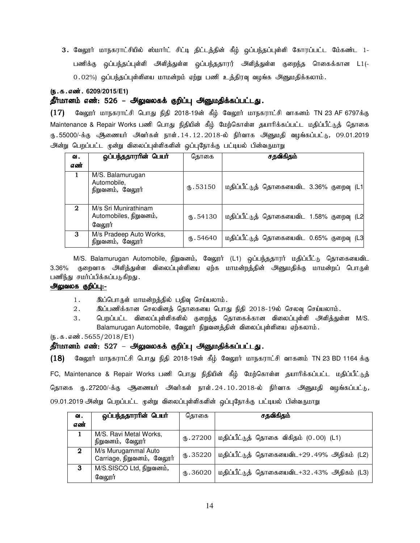3. வேலூர் மாநகராட்சியில் ஸ்மார்ட் சிட்டி திட்டத்தின் கீழ் ஒப்பந்தப்புள்ளி கோரப்பட்ட மே்கண்ட 1-பணிக்கு ஒப்பந்தப்புள்ளி அளித்துள்ள ஒப்பந்ததாரர் அளித்துள்ள குறைந்த ரெகைக்கான L1(- $0.02\%$ ) ஒப்பந்தப்புள்ளியை மாமன்றம் ஏற்று பணி உத்திரவு வழங்க அனுமதிக்கலாம்.

#### (ந.க.எண். 6209/2015/E1)

# தீர்மானம் எண்: 526 – அலுவலகக் குறிப்பு அனுமதிக்கப்பட்டது.

 $(17)$  வேலூர் மாநகராட்சி பொது நிதி 2018-19ன் கீழ் வேலூர் மாநகராட்சி வாகனம் TN 23 AF 6797க்கு Maintenance & Repair Works பணி பொது நிதியின் கீழ் மேற்கொள்ள தயாரிக்கப்பட்ட மதிப்பீட்டுத் தொகை ரு .55000/-க்கு ஆணையர் அவர்கள் நாள். $14.12.2018$ -ல் நிர்வாக அனுமதி வழங்கப்பட்டு, 09.01.2019 அன்று பெறப்பட்ட முன்று விலைப்புள்ளிகளின் ஒப்புநோக்கு பட்டியல் பின்வருமாறு

| வ.           | ஒப்பந்ததாரரின் பெயர்                                     | கொகை      | சதவிகிதம்                                |
|--------------|----------------------------------------------------------|-----------|------------------------------------------|
| எண்          |                                                          |           |                                          |
|              | M/S. Balamurugan<br>Automobile,<br>நிறுவனம், வேலூர்      | (B.53150) | மதிப்பீட்டுத் தொகையைவிட 3.36% குறைவு (L1 |
| $\mathbf{2}$ | M/s Sri Munirathinam<br>Automobiles, நிறுவனம்,<br>வேலூர் | (B.54130) | மதிப்பீட்டுத் தொகையைவிட 1.58% குறைவு (L2 |
| 3            | M/s Pradeep Auto Works,<br>நிறுவனம், வேலூர்              | m.54640   | மதிப்பீட்டுத் தொகையைவிட 0.65% குறைவு (L3 |

M/S. Balamurugan Automobile, நிறுவனம், வேலூர் (L1) ஒப்பந்ததாரர் மதிப்பீட்டு தொகையைவிட 3.36% குறைவாக அி்த்துள்ள விலைப்புள்ளியை ஏற்க மாமன்றத்தின் அனுமதிக்கு மாமன்றப் பொருள் பணிந்து சமர்ப்பிக்கப்படுகிறது.

# அலுவலக குறிப்பு:-

- 1. இப்பொருள் மாமன்றத்தில் பதிவு செய்யலாம்.
- $2.$   $\blacksquare$  இப்பணிக்கான செலவினத் தொகையை பொது நிதி 2018-19ல் செலவு செய்யலாம்.
- 3. பெறப்பட்ட விலைப்புள்ளிகளில் குறைந்த தொகைக்கான விலைப்புள்ளி அளித்துள்ள M/S. Balamurugan Automobile, வேலூர் நிறுவனத்தின் விலைப்புள்ளியை ஏற்கலாம்.

 $(n.5.5.5655/2018/E1)$ 

#### தீர்மானம் எண்: 527 – அலுவலகக் குறிப்பு அனுமதிக்கப்பட்டது.

 $(18)$  Bிலுார் மாநகராட்சி பொது நிதி 2018-19ன் கீழ் வேலூர் மாநகராட்சி வாகனம் TN 23 BD 1164 க்கு

FC, Maintenance & Repair Works பணி பொது நிதியின் கீழ் மேற்கொள்ள தயாரிக்கப்பட்ட மதிப்பீட்டுத் தொகை ரு.27200/-க்கு ஆணையர் அவர்கள் நாள்.24.10.2018-ல் நிர்வாக அனுமதி வழங்கப்பட்டு*,* 09.01.2019 அன்று பெறப்பட்ட முன்று விலைப்புள்ளிகளின் ஒப்புநோக்கு பட்டியல் பின்வருமாறு

| ഖ.           | ஒப்பந்ததாரரின் பெயர்                              | தொகை      | சதவிகிதம்                                   |
|--------------|---------------------------------------------------|-----------|---------------------------------------------|
| எண்          |                                                   |           |                                             |
|              | M/S. Ravi Metal Works,<br>நிறுவனம், வேலூர்        | (B.27200) | மதிப்பீட்டுத் தொகை விகிதம் (0.00) (L1)      |
| $\mathbf{2}$ | M/s Murugammal Auto<br>Carriage, நிறுவனம், வேலூர் | (B.35220) | மதிப்பீட்டுத் தொகையைவிட+29 .49% அதிகம் (L2) |
| 3            | M/S.SISCO Ltd, நிறுவனம்,<br>வேலூர்                | fb.36020  | மதிப்பீட்டுத் தொகையைவிட+32.43% அதிகம் (L3)  |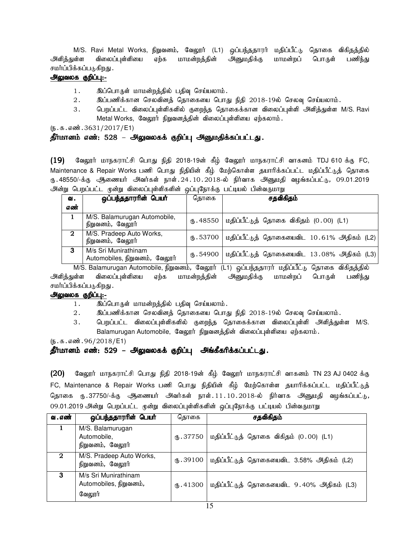M/S. Ravi Metal Works, நிறுவனம், வேலூா் (L1) ஒப்பந்ததாரா் மதிப்பீட்டு தொகை விகிதத்தில் அளித்துள்ள விலைப்புள்ளியை ஏற்க மாமன்றத்தின் அனுமதிக்கு மாமன்றப் பொருள் பணிந்து சமர்ப்பிக்கப்படுகிறது .

#### அலுவலக குறிப்பு:-

- 1. இப்பொருள் மாமன்றத்தில் பதிவு செய்யலாம்.
- $2.$   $\qquad$  இப்பணிக்கான செலவினத் தொகையை பொது நிதி 2018-19ல் செலவு செய்யலாம்.
- 3. பெறப்பட்ட விலைப்புள்ளிகளில் குறைந்த தொகைக்கான விலைப்புள்ளி அளித்துள்ள M/S. Ravi Metal Works, வேலூர் நிறுவனத்தின் விலைப்புள்ளியை ஏற்கலாம்.

 $(5.5.5.5\frac{1}{2017}$ /E1)

# தீர்மானம் எண்: 528 – அலுவலகக் குறிப்பு அனுமதிக்கப்பட்டது.

 $(19)$  வேலூர் மாநகராட்சி பொது நிதி 2018-19ன் கீழ் வேலூர் மாநகராட்சி வாகனம் TDJ 610 க்கு FC, Maintenance & Repair Works பணி பொது நிதியின் கீழ் மேற்கொள்ள தயாரிக்கப்பட்ட மதிப்பீட்டுத் தொகை ரு. 48550/-க்கு ஆணையர் அவர்கள் நாள். 24. 10. 2018-ல் நிர்வாக அனுமதி வழங்கப்பட்டு, 09.01.2019 அன்று பெறப்பட்ட முன்று விலைப்புள்ளிகளின் ஒப்புநோக்கு பட்டியல் பின்வருமாறு

| வ.           | ஒப்பந்ததாரரின் பெயர்                                  | தொகை      | சதவிகிதம்                                            |
|--------------|-------------------------------------------------------|-----------|------------------------------------------------------|
| எண்          |                                                       |           |                                                      |
|              | M/S. Balamurugan Automobile,<br>நிறுவனம், வேலூர்      |           | ரு. 48550   மதிப்பீட்டுத் தொகை விகிதம் $(0.00)$ (L1) |
| $\mathbf{2}$ | M/S. Pradeep Auto Works,<br>நிறுவனம், வேலூர்          | 0.53700   | மதிப்பீட்டுத் தொகையைவிட 10.61% அதிகம் (L2)           |
| 3            | M/s Sri Munirathinam<br>Automobiles, நிறுவனம், வேலூர் | (B.54900) | மதிப்பீட்டுத் தொகையைவிட 13.08% அதிகம் (L3)           |

M/S. Balamurugan Automobile, நிறுவனம், வேலூர் (L1) ஒப்பந்ததாரர் மதிப்பீட்டு தொகை விகிதத்தில் அளித்துள்ள விலைப்புள்ளியை ஏற்க மாமன்றத்தின் அனுமதிக்கு மாமன்றப் பொருள் பணிந்து சமர்ப்பிக்கப்படுகிறது .

#### அலுவலக குறிப்பு:-

- 1. இப்பொருள் மாமன்றத்தில் பதிவு செய்யலாம்.
- $2.$   $\blacksquare$  இப்பணிக்கான செலவினத் தொகையை பொது நிதி 2018-19ல் செலவு செய்யலாம்.
- 3. பெறப்பட்ட விலைப்புள்ளிகளில் குறைந்த தொகைக்கான விலைப்புள்ளி அளித்துள்ள M/S. Balamurugan Automobile, வேலூர் நிறுவனத்தின் விலைப்புள்ளியை ஏற்கலாம்.

 $(5.5.5.5\,\text{m}^3.96/2018/\text{E}1)$ 

# தீர்மானம் எண்: 529 – அலுவலகக் குறிப்பு அங்கீகரிக்கப்பட்டது.

 $(20)$  வேலூர் மாநகராட்சி பொது நிதி 2018-19ன் கீழ் வேலூர் மாநகராட்சி வாகனம் TN 23 AJ 0402 க்கு FC, Maintenance & Repair Works பணி பொது நிதியின் கீழ் மேற்கொள்ள தயாரிக்கப்பட்ட மதிப்பீட்டுத் தொகை ரு.37750/-க்கு ஆணையர் அவர்கள் நாள்.11.10.2018-ல் நிர்வாக அனுமதி வழங்கப்பட்டு*,* 09.01.2019 அன்று பெறப்பட்ட முன்று விலைப்புள்ளிகளின் ஒப்புநோக்கு பட்டியல் பின்வருமாறு

| வ . எண்     | ஒப்பந்ததாராின் பெயா்                                     | கொகை      | சதவிகிதம்                                 |
|-------------|----------------------------------------------------------|-----------|-------------------------------------------|
|             | M/S. Balamurugan<br>Automobile,<br>நிறுவனம், வேலூர்      | (B.37750) | மதிப்பீட்டுத் தொகை விகிதம் (0.00) (L1)    |
| $\mathbf 2$ | M/S. Pradeep Auto Works,<br>நிறுவனம், வேலூர்             | (B.39100) | மதிப்பீட்டுத் தொகையைவிட 3.58% அதிகம் (L2) |
| 3           | M/s Sri Munirathinam<br>Automobiles, நிறுவனம்,<br>வேலூர் | (B.41300) | மதிப்பீட்டுத் தொகையைவிட 9.40% அதிகம் (L3) |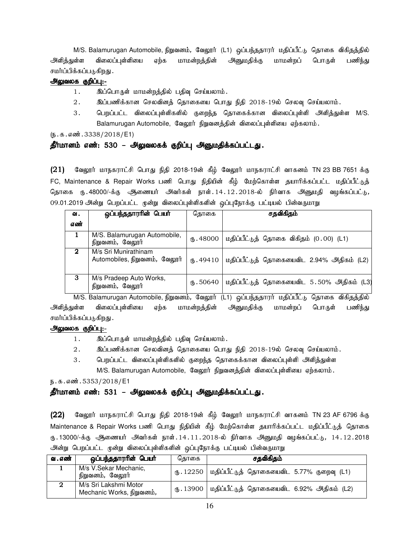M/S. Balamurugan Automobile, நிறுவனம், வேலூா் (L1) ஒப்பந்ததாரா் மதிப்பீட்டு தொகை விகிதத்தில் அளித்துள்ள விலைப்புள்ளியை ஏற்க மாமன்றத்தின் அனுமதிக்கு மாமன்றப் பொருள் பணிந்து சமர்ப்பிக்கப்படுகிறது .

#### அலுவலக குறிப்பு:-

- 1. இப்பொருள் மாமன்றத்தில் பதிவு செய்யலாம்.
- $2.$   $\blacksquare$  இப்பணிக்கான செலவினத் தொகையை பொது நிதி 2018-19ல் செலவு செய்யலாம்.
- 3. பெறப்பட்ட விலைப்புள்ளிகளில் குறைந்த தொகைக்கான விலைப்புள்ளி அளித்துள்ள M/S. Balamurugan Automobile, வேலூர் நிறுவனத்தின் விலைப்புள்ளியை ஏற்கலாம்.

 $(5.5.5.5\text{m}^3.3338/2018/\text{E}1)$ 

#### தீர்மானம் எண்: 530 – அலுவலகக் குறிப்பு அனுமதிக்கப்பட்டது.

 $(21)$  Bிஷூர் மாநகராட்சி பொது நிதி 2018-19ன் கீழ் வேலூர் மாநகராட்சி வாகனம் TN 23 BB 7651 க்கு FC, Maintenance & Repair Works பணி பொது நிதியின் கீழ் மேற்கொள்ள தயாரிக்கப்பட்ட மதிப்பீட்டுத் தொகை ரு.48000/-க்கு ஆணையர் அவர்கள் நாள்.14.12.2018-ல் நிர்வாக அனுமதி வழங்கப்பட்டு*,* 09.01.2019 அன்று பெறப்பட்ட முன்று விலைப்புள்ளிகளின் ஒப்புநோக்கு பட்டியல் பின்வருமாறு

| ഖ.           | ஒப்பந்ததாரரின் பெ <b>யா்</b>                          | கொகை                | சதவிகிதம்                                 |
|--------------|-------------------------------------------------------|---------------------|-------------------------------------------|
| எண்          |                                                       |                     |                                           |
|              | M/S. Balamurugan Automobile,<br>நிறுவனம், வேலூர்      | $\circled{6}.48000$ | மதிப்பீட்டுத் தொகை விகிதம் (0.00) (L1)    |
| $\mathbf{2}$ | M/s Sri Munirathinam<br>Automobiles, நிறுவனம், வேலூர் | (1.49410)           | மதிப்பீட்டுத் தொகையைவிட 2.94% அதிகம் (L2) |
| 3            | M/s Pradeep Auto Works,<br>நிறுவனம், வேலூர்           | $\text{I}$ .50640   | மதிப்பீட்டுத் தொகையைவிட 5.50% அதிகம் (L3) |

M/S. Balamurugan Automobile, நிறுவனம், வேலூர் (L1) ஒப்பந்ததாரர் மதிப்பீட்டு தொகை விகிதத்தில் அளித்துள்ள விலைப்புள்ளியை ஏற்க மாமன்றத்தின் அனுமதிக்கு மாமன்றப் பொருள் பணிந்து சமர்ப்பிக்கப்படுகிறது .

# அலுவலக குறிப்பு:-

- 1. இப்பொருள் மாமன்றத்தில் பதிவு செய்யலாம்.
- $2.$   $\qquad$  இப்பணிக்கான செலவினத் தொகையை பொது நிதி 2018-19ல் செலவு செய்யலாம்.
- 3. பெறப்பட்ட விலைப்புள்ளிகளில் குறைந்த தொகைக்கான விலைப்புள்ளி அளித்துள்ள M/S. Balamurugan Automobile, வேலூர் நிறுவனத்தின் விலைப்புள்ளியை ஏற்கலாம்.

ந.க.எண்.5353/2018/E1

# தீர்மானம் எண்: 531 – அலுவலகக் குறிப்பு அனுமதிக்கப்பட்டது.

 $(22)$  Bிஷூர் மாநகராட்சி பொது நிதி 2018-19ன் கீழ் வேலூர் மாநகராட்சி வாகனம் TN 23 AF 6796 க்கு Maintenance & Repair Works பணி பொது நிதியின் கீழ் மேற்கொள்ள தயாரிக்கப்பட்ட மதிப்பீட்டுத் தொகை ரு.13000/-க்கு ஆணையர் அவர்கள் நாள்.14.11.2018-ல் நிர்வாக அனுமதி வழங்கப்பட்டு, 14.12.2018 அன்று பெறப்பட்ட முன்று விலைப்புள்ளிகளின் ஒப்புநோக்கு பட்டியல் பின்வருமாறு

| வ . எண் | ஒப்பந்ததாராின் பெயா்                               | கொகை | சதவிகிதம்                                             |
|---------|----------------------------------------------------|------|-------------------------------------------------------|
|         | M/s V.Sekar Mechanic,<br>நிறுவனம், வேலூர்          |      | ரு. 12250   மதிப்பீட்டுத் தொகையைவிட 5.77% குறைவு (L1) |
| 2       | M/s Sri Lakshmi Motor<br>Mechanic Works, நிறுவனம், |      | ரு. 13900   மதிப்பீட்டுத் தொகையைவிட 6.92% அதிகம் (L2) |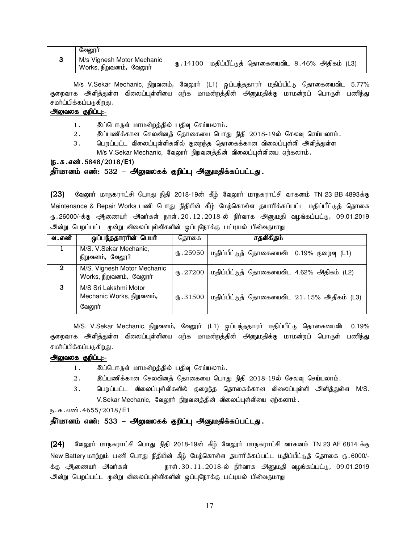| வேலாா்                                                 |                                                                                                 |  |
|--------------------------------------------------------|-------------------------------------------------------------------------------------------------|--|
| M/s Vignesh Motor Mechanic<br>Works, நிறுவனம்,  வேலூர் | $\text{\textregistered}.14100$   மதிப்பீட்டுத் தொகையைவிட $\text{\textdegree}$ 8.46% அதிகம் (L3) |  |

M/s V.Sekar Mechanic, நிறுவனம், வேலூர் (L1) ஒப்பந்ததாரர் மதிப்பீட்டு தொகையைவிட 5.77% குறைவாக அளித்துள்ள விலைப்புள்ளியை ஏற்க மாமன்றத்தின் அனுமதிக்கு மாமன்றப் பொருள் பணிந்து சமர்ப்பிக்கப்படுகிறது .

#### அலுவலக குறிப்பு:-

- 1. இப்பொருள் மாமன்றத்தில் பதிவு செய்யலாம்.
- $2.$   $\,$  இப்பணிக்கான செலவினத் தொகையை பொது நிதி 2018-19ல் செலவு செய்யலாம்.
- 3. பெறப்பட்ட விலைப்புள்ளிகளில் குறைந்த தொகைக்கான விலைப்புள்ளி அளித்துள்ள M/s V.Sekar Mechanic, வேலூர் நிறுவனத்தின் விலைப்புள்ளியை ஏற்கலாம்.

#### (e.f.vz;.5848/2018/**E1)**

#### தீர்மானம் எண்: 532 – அலுவலகக் குறிப்பு அனுமதிக்கப்பட்டது.

 $(23)$  Baலூர் மாநகராட்சி பொது நிதி 2018-19ன் கீழ் வேலூர் மாநகராட்சி வாகனம் TN 23 BB 4893க்கு Maintenance & Repair Works பணி பொது நிதியின் கீழ் மேற்கொள்ள தயாரிக்கப்பட்ட மதிப்பீட்டுத் தொகை ரு.26000/-க்கு ஆணையர் அவர்கள் நாள்.20.12.2018-ல் நிர்வாக அனுமதி வழங்கப்பட்டு, 09.01.2019 அன்று பெறப்பட்ட முன்று விலைப்புள்ளிகளின் ஒப்புநோக்கு பட்டியல் பின்வருமாறு

| வ . எண் | ஒப்பந்ததாரரின் பெயர்                                         | தொகை                | சதவிகிதம்                                  |
|---------|--------------------------------------------------------------|---------------------|--------------------------------------------|
|         | M/S. V.Sekar Mechanic,<br>நிறுவனம், வேலூர்                   | (5.25950)           | மதிப்பீட்டுத் தொகையைவிட 0.19% குறைவு (L1)  |
| 2       | M/S. Vignesh Motor Mechanic<br>Works, நிறுவனம், வேலூர்       | (1.27200)           | மதிப்பீட்டுத் தொகையைவிட 4.62% அதிகம் (L2)  |
| -3      | M/S Sri Lakshmi Motor<br>Mechanic Works, நிறுவனம்,<br>வேலூர் | $\mathbf{L}$ .31500 | மதிப்பீட்டுத் தொகையைவிட 21.15% அதிகம் (L3) |

M/S. V.Sekar Mechanic, நிறுவனம், வேலூா் (L1) ஒப்பந்ததாரா் மதிப்பீட்டு தொகையைவிட 0.19% குறைவாக அளித்துள்ள விலைப்புள்ளியை ஏற்க மாமன்றத்தின் அனுமதிக்கு மாமன்றப் பொருள் பணிந்து சமர்ப்பிக்கப்படுகிறது .

#### அலுவலக குறிப்பு:-

- 1. இப்பொருள் மாமன்றத்தில் பதிவு செய்யலாம்.
- $2.$   $\qquad$  இப்பணிக்கான செலவினத் தொகையை பொது நிதி 2018-19ல் செலவு செய்யலாம்.
- 3. பெறப்பட்ட விலைப்புள்ளிகளில் குறைந்த தொகைக்கான விலைப்புள்ளி அளித்துள்ள M/S. V.Sekar Mechanic, வேலூர் நிறுவனத்தின் விலைப்புள்ளியை ஏற்கலாம்.

ந.க.எண்.4655/2018/E1

தீர்மானம் எண்: 533 – அலுவலகக் குறிப்பு அனுமதிக்கப்பட்டது.

 $(24)$  Bிஷூர் மாநகராட்சி பொது நிதி 2018-19ன் கீழ் வேலூர் மாநகராட்சி வாகனம் TN 23 AF 6814 க்கு New Battery மாற்றும் பணி பொது நிதியின் கீழ் மேற்கொள்ள தயாரிக்கப்பட்ட மதிப்பீட்டுத் தொகை ரு.6000/-க்கு ஆணையர் அவர்கள் நாள்.30.11.2018-ல் நிர்வாக அனுமதி வழங்கப்பட்டு, 09.01.2019 அன்று பெறப்பட்ட முன்று விலைப்புள்ளிகளின் ஒப்புநோக்கு பட்டியல் பின்வருமாறு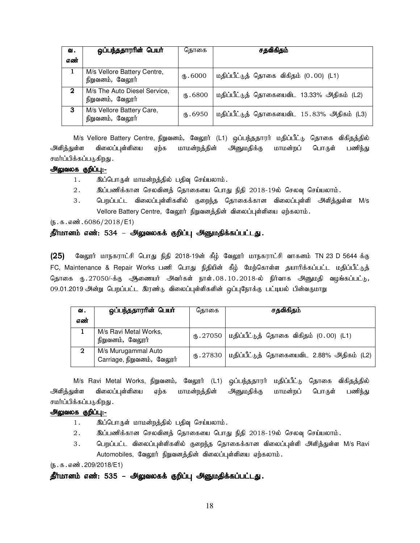| வ.           | ஒப்பந்ததாரரின் பெயர்                             | தொகை         | சதவிகிதம்                                  |
|--------------|--------------------------------------------------|--------------|--------------------------------------------|
| எண்          |                                                  |              |                                            |
|              | M/s Vellore Battery Centre,<br>நிறுவனம், வேலூர்  | $(1)$ . 6000 | மதிப்பீட்டுத் தொகை விகிதம் (0.00) (L1)     |
| $\mathbf{2}$ | M/s The Auto Diesel Service,<br>நிறுவனம், வேலூர் | ரு. 6800     | மதிப்பீட்டுத் தொகையைவிட 13.33% அதிகம் (L2) |
| 3            | M/s Vellore Battery Care,<br>நிறுவனம், வேலூர்    | (հ.6950      | மதிப்பீட்டுத் தொகையைவிட 15.83% அதிகம் (L3) |

M/s Vellore Battery Centre, நிறுவனம், வேலூர் (L1) ஒப்பந்ததாரர் மதிப்பீட்டு தொகை விகிதத்தில் அளித்துள்ள விலைப்புள்ளியை ஏற்க மாமன்றத்தின் அனுமதிக்கு மாமன்றப் பொருள் பணிந்து சமர்ப்பிக்கப்படுகிறது .

### அலுவலக குறிப்பு:-

- 1. இப்பொருள் மாமன்றத்தில் பதிவு செய்யலாம்.
- $2.$   $\blacksquare$  இப்பணிக்கான செலவினத் தொகையை பொது நிதி 2018-19ல் செலவு செய்யலாம்.
- 3. பெறப்பட்ட விலைப்புள்ளிகளில் குறைந்த தொகைக்கான விலைப்புள்ளி அளித்துள்ள M/s Vellore Battery Centre, வேலூர் நிறுவனத்தின் விலைப்புள்ளியை ஏற்கலாம்.

#### $(5.5.5.5\frac{1}{2018})$

#### தீர்மானம் எண்: 534 – அலுவலகக் குறிப்பு அனுமதிக்கப்பட்டது.

 $(25)$  கேலூர் மாநகராட்சி பொது நிதி 2018-19ன் கீழ் வேலூர் மாநகராட்சி வாகனம் TN 23 D 5644 க்கு FC, Maintenance & Repair Works பணி பொது நிதியின் கீழ் மேற்கொள்ள தயாரிக்கப்பட்ட மதிப்பீட்டுத் தொகை ரு.27050/-க்கு ஆணையர் அவர்கள் நாள்.08.10.2018-ல் நிர்வாக அனுமதி வழங்கப்பட்டு, 09.01.2019 அன்று பெறப்பட்ட இரண்டு விலைப்புள்ளிகளின் ஒப்புநோக்கு பட்டியல் பின்வருமாறு

| ഖ.  | ஒப்பந்ததாரரின் பெயர்                              | கொகை      | சதவிகிதம்                                            |
|-----|---------------------------------------------------|-----------|------------------------------------------------------|
| எண் |                                                   |           |                                                      |
|     | M/s Ravi Metal Works,<br>நிறுவனம், வேலூர்         |           | ரு. 27050   மதிப்பீட்டுத் தொகை விகிதம் $(0.00)$ (L1) |
| 2   | M/s Murugammal Auto<br>Carriage, நிறுவனம், வேலூர் | (B.27830) | மதிப்பீட்டுத் தொகையைவிட 2.88% அதிகம் (L2)            |

M/s Ravi Metal Works, நிறுவனம், வேலூர் (L1) ஒப்பந்ததாரர் மதிப்பீட்டு தொகை விகிதத்தில் அளித்துள்ள விலைப்புள்ளியை ஏற்க மாமன்றத்தின் அனுமதிக்கு மாமன்றப் பொருள் பணிந்து சமர்ப்பிக்கப்படுகிறது .

#### அலுவலக குறிப்பு:-

- 1. இப்பொருள் மாமன்றத்தில் பதிவு செய்யலாம்.
- $2.$   $\blacksquare$  இப்பணிக்கான செலவினத் தொகையை பொது நிதி 2018-19ல் செலவு செய்யலாம்.
- 3. பெறப்பட்ட விலைப்புள்ளிகளில் குறைந்த தொகைக்கான விலைப்புள்ளி அளித்துள்ள M/s Ravi Automobiles, வேலூர் நிறுவனத்தின் விலைப்புள்ளியை ஏற்கலாம்.

 $(5.5.5.5\omega)$ : 209/2018/E1)

தீர்மானம் எண்: 535 – அலுவலகக் குறிப்பு அனுமதிக்கப்பட்டது.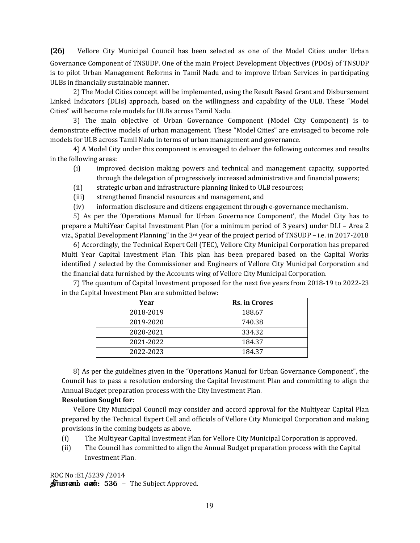(26) Vellore City Municipal Council has been selected as one of the Model Cities under Urban Governance Component of TNSUDP. One of the main Project Development Objectives (PDOs) of TNSUDP is to pilot Urban Management Reforms in Tamil Nadu and to improve Urban Services in participating ULBs in financially sustainable manner.

2) The Model Cities concept will be implemented, using the Result Based Grant and Disbursement Linked Indicators (DLIs) approach, based on the willingness and capability of the ULB. These "Model Cities" will become role models for ULBs across Tamil Nadu.

 3) The main objective of Urban Governance Component (Model City Component) is to demonstrate effective models of urban management. These "Model Cities" are envisaged to become role models for ULB across Tamil Nadu in terms of urban management and governance.

 4) A Model City under this component is envisaged to deliver the following outcomes and results in the following areas:

- (i) improved decision making powers and technical and management capacity, supported through the delegation of progressively increased administrative and financial powers;
- (ii) strategic urban and infrastructure planning linked to ULB resources;
- (iii) strengthened financial resources and management, and
- (iv) information disclosure and citizens engagement through e-governance mechanism.

5) As per the 'Operations Manual for Urban Governance Component', the Model City has to prepare a MultiYear Capital Investment Plan (for a minimum period of 3 years) under DLI – Area 2 viz., Spatial Development Planning" in the 3rd year of the project period of TNSUDP – i.e. in 2017-2018

 6) Accordingly, the Technical Expert Cell (TEC), Vellore City Municipal Corporation has prepared Multi Year Capital Investment Plan. This plan has been prepared based on the Capital Works identified / selected by the Commissioner and Engineers of Vellore City Municipal Corporation and the financial data furnished by the Accounts wing of Vellore City Municipal Corporation.

 7) The quantum of Capital Investment proposed for the next five years from 2018-19 to 2022-23 in the Capital Investment Plan are submitted below:

| Year      | Rs. in Crores |
|-----------|---------------|
| 2018-2019 | 188.67        |
| 2019-2020 | 740.38        |
| 2020-2021 | 334.32        |
| 2021-2022 | 184.37        |
| 2022-2023 | 184.37        |

 8) As per the guidelines given in the "Operations Manual for Urban Governance Component", the Council has to pass a resolution endorsing the Capital Investment Plan and committing to align the Annual Budget preparation process with the City Investment Plan.

# **Resolution Sought for:**

Vellore City Municipal Council may consider and accord approval for the Multiyear Capital Plan prepared by the Technical Expert Cell and officials of Vellore City Municipal Corporation and making provisions in the coming budgets as above.

- (i) The Multiyear Capital Investment Plan for Vellore City Municipal Corporation is approved.
- (ii) The Council has committed to align the Annual Budget preparation process with the Capital Investment Plan.

ROC No :E1/5239 /2014  $\mathbf{\hat{B}}$ ர்மானம் எண்: 536 – The Subject Approved.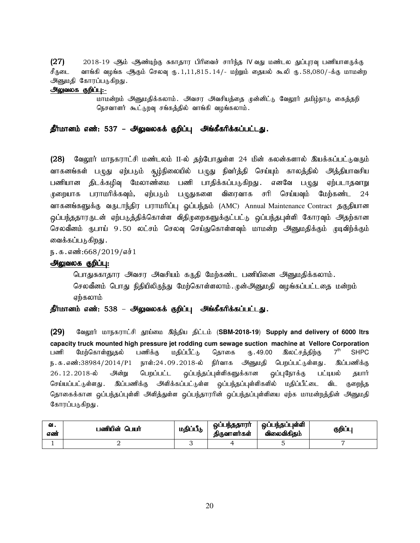$(27)$  2018-19 ஆம் ஆண்டிற்கு சுகாதார பிரிவைச் சார்ந்த IV வது மண்டல துப்புரவு பணியாளருக்கு சீருடை வாங்கி வழங்க ஆதம் செலவு ரு. 1,11,815. 14/- மற்றும் தையல் கூலி ரு. 58,080/-க்கு மாமன்ற அனுமதி கோரப்படுகிறது.

#### அலுவலக குறிப்பு:-

மாமன்றம் அனுமதிக்கலாம். அவசர அவசியத்தை முன்னிட்டு வேலூர் தமிழ்நாடு கைத்தறி நெசவாளர் கூட்டுறவு சங்கத்தில் வாங்கி வழங்கலாம்.

# தீர்மானம் எண்: 537 – அலுவலகக் குறிப்பு அங்கீகரிக்கப்பட்டது.

(28) வேலூர் மாநகராட்சி மண்டலம் II-ல் தற்போதுள்ள 24 மின் கலன்களால் இயக்கப்பட்டுவரும் வாகனங்கள் பழுது ஏற்படும் சூழ்நிலையில் பழுது நிவர்த்தி செய்யும் காலத்தில் அத்தியாவசிய பணியான திடக்கழிவு மேலாண்மை பணி பாதிக்கப்படுகிறது .எனவே பழுது ஏற்படாதவாறு முறையாக பராமரிக்கவும், ஏற்படும் பழுதுகளை விரைவாக சரி செய்யவும் மேற்கண்ட 24 வாகனங்களுக்கு வருடாந்திர பராமரிப்பு ஒப்பந்தம் (AMC) Annual Maintenance Contract தகுதியான ஒப்பந்ததாரருடன் ஏற்படுத்திக்கொள்ள விதிமுறைகளுக்குட்பட்டு ஒப்பந்தபுள்ளி கோரவும் அதற்கான செலவீனம் ருபாய் 9.50 லட்சம் செலவு செய்துகொள்ளவும் மாமன்ற அனுமதிக்கும் முடிவிற்க்கும் வைக்கப்படுகிறது .

ந.க.எண்:668/2019/எச்1

#### அலுவலக குறிப்பு:

பொதுசுகாதார அவசர அவசியம் கருதி மேற்கண்ட பணியினை அனுமதிக்கலாம். செலவீனம் பொது நிதியிலிருந்து மேற்கொள்ளலாம். முன்அனுமதி வழங்கப்பட்டதை மன்றம் ஏற்கலாம்

#### தீர்மானம் எண்: 538 – அலுவலகக் குறிப்பு அங்கீகரிக்கப்பட்டது.

(29) வேலூர் மாநகராட்சி தூய்மை இந்திய திட்டம் (SBM-2018-19) Supply and delivery of 6000 ltrs **capacity truck mounted high pressure jet rodding cum sewage suction machine at Vellore Corporation** பணி மேற்கொள்ளுகல் பணிக்கு மகிப்பீட்<sub>ம்</sub> கொகை ரூ. 49.00 இலட்சக்கிற்கு 7<sup>th</sup> **SHPC** ந.க.எண்:38984/2014/P1 நாள்:24.09.2018-ல் நிர்வாக அனுமதி பெறப்பட்டுள்ளது. இப்பணிக்கு 26.12.2018-ல் அன்று பெறப்பட்ட ஒப்பந்தப்புள்ளிகளுக்கான ஒப்புநோக்கு பட்டியல் தயார் செய்யப்பட்டுள்ளது . இப்பணிக்கு அளிக்கப்பட்டுள்ள <u>ஒ</u>ப்பந்தப்புள்ளிகளில் மதிப்பீட்டை விட குறைந்த தொகைக்கான ஒப்பந்தப்புள்ளி அளித்துள்ள ஒப்பந்தாரரின் ஒப்பந்தப்புள்ளியை ஏற்க மாமன்றத்தின் அனுமதி கோரப்படுகிறது.

| ഖ.<br>எண் | பணியின் பெயர் | மதிப்பீடு | ஒப்பந்ததாரர்<br>கிருவாளர்கள் | ஒப்பந்தப்புள்ளி<br>விலைவிகிதம் | குறிப்பு |
|-----------|---------------|-----------|------------------------------|--------------------------------|----------|
|           |               |           |                              |                                |          |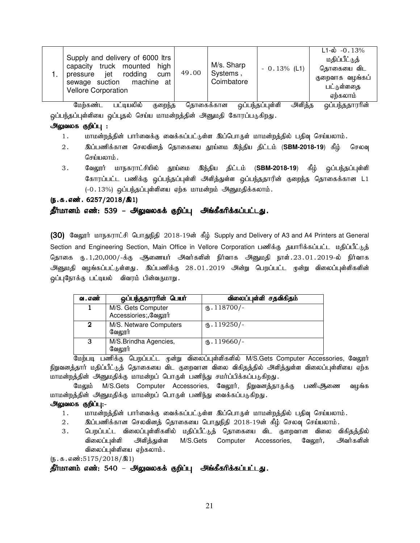| Supply and delivery of 6000 ltrs<br>capacity truck mounted<br>high                           | 49.00 | M/s. Sharp<br>Systems, | $-0.13\%$ (L1) | $L1-\dot{\omega}$ -0.13%<br>மதிப்பீட்டுத்<br>தொகையை விட |
|----------------------------------------------------------------------------------------------|-------|------------------------|----------------|---------------------------------------------------------|
| jet rodding<br>cum<br>pressure<br>machine at<br>sewage suction<br><b>Vellore Corporation</b> |       | Coimbatore             |                | குறைவாக வழங்கப்<br>பட்டுள்ளதை<br>ஏற்கலாம்               |

மேற்கண்ட பட்டியலில் குறைந்த தொகைக்கான ஒப்பந்தப்புள்ளி அளித்த ஒப்பந்ததாரரின் ஒப்பந்தப்புள்ளியை ஒப்புதல் செய்ய மாமன்றத்தின் அனுமதி கோரப்படுகிறது.

#### <u>அலுவலக குறிப்பு :</u>

- 1. khr மன்றத்தின் பார்வைக்கு வைக்கப்பட்டுள்ள இப்பொருள் மாமன்றத்தில் பதிவு செய்யலாம்.
- 2. இப்பணிக்கான செலவினத் தொகையை தூய்மை இந்திய திட்டம் (**SBM-2018-19**) கீழ் செலவு செய்யலாம்.
- 3. வேலூர் மாநகராட்சியில் தூய்மை இந்திய திட்டம் (**SBM-2018-19**) கீழ் ஒப்பந்தப்புள்ளி கோரப்பட்ட பணிக்கு ஒப்பந்தப்புள்ளி அளித்துள்ள ஒப்பந்ததாரின் குறைந்த தொகைக்கான L1  $(-0.13%)$  ஒப்பந்தப்புள்ளியை ஏற்க மாமன்றம் அனுமதிக்கலாம்.

#### $(5.5.5 \text{...} \cdot 6257/2018/\text{...})$

# தீர்மானம் எண்: 539 – அலுவலகக் குறிப்பு அங்கீகரிக்கப்பட்டது.

(30) வேலூர் மாநகராட்சி பொதுநிதி 2018-19ன் கீழ் Supply and Delivery of A3 and A4 Printers at General Section and Engineering Section, Main Office in Vellore Corporation பணிக்கு தயாரிக்கப்பட்ட மதிப்பீட்டுத் தொகை ரு. 1,20,000/-க்கு ஆணையர் அவர்களின் நிர்வாக அனுமதி நாள். 23.01.2019-ல் நிர்வாக .<br>அனுமதி வழங்கப்பட்டுள்ளது . இப்பணிக்கு 28 01 2019 அன்று பெறப்பட்ட முன்று விலைப்புள்ளிகளின் ஒப்புநோக்கு பட்டியல் விவரம் பின்வருமாறு.

| வ . எண் | ஒப்பந்ததாரரின் பெயர்                       | விலைப்புள்ளி சதவிகிதம்  |
|---------|--------------------------------------------|-------------------------|
|         | M/S. Gets Computer<br>Accessiories;,வேலூர் | $\text{I}18700$ /-      |
| 2       | M/S. Netware Computers<br>வேலூர்           | $\times$ . 119250/-     |
| З       | M/S.Brindha Agencies,<br>வேலூர்            | $\mathbf{t}$ . 119660/- |

மேற்படி பணிக்கு பெறப்பட்ட முன்று விலைப்புள்ளிகளில் M/S.Gets Computer Accessories, வேலூர் நிறுவனத்தார் மதிப்பீட்டுத் தொகையை விட குறைவான விலை விகிதத்தில் அளித்துள்ள விலைப்புள்ளியை ஏற்க மாமன்றத்தின் அனுமதிக்கு மாமன்றப் பொருள் பணிந்து சமர்ப்பிக்கப்படுகிறது.

மேலும் M/S.Gets Computer Accessories, வேலூர், நிறுவனத்தாருக்கு பணிஆணை வழங்க மாமன்றத்தின் அனுமதிக்கு மாமன்றப் பொருள் பணிந்து வைக்கப்படுகிறது.

#### அலுவலக குறிப்பு:-

- 1. khr மன்றத்தின் பார்வைக்கு வைக்கப்பட்டுள்ள இப்பொருள் மாமன்றத்தில் பதிவு செய்யலாம்.
- 2. இப்பணிக்கான செலவினத் தொகையை பொதுநிதி 2018-19ன் கீழ் செலவு செய்யலாம்.
- 3 . பெறப்பட்ட விலைப்புள்ளிகளில் மதிப்பீட்டுத் தொகையை விட குறைவான விலை விகிதத்தில் விலைப்புள்ளி அளித்துள்ள M/S.Gets Computer Accessories, வேலூர், அவர்களின் விலைப்புள்ளியை ஏற்கலாம்.

 $(5.5.5.5175/2018/\text{R})$ 

தீர்மானம் எண்: 540 – அலுவலகக் குறிப்பு அங்கீகரிக்கப்பட்டது.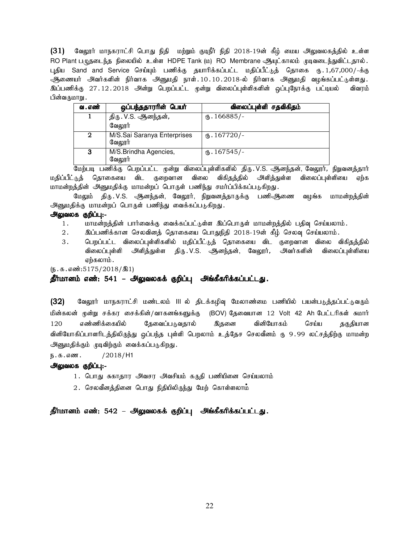$(31)$  வேலூர் மாநகராட்சி பொது நிதி மற்றும் குடிநீர் நிதி 2018-19ன் கீழ் மைய அலுவலகத்தில் உள்ள RO Plant பழுதடைந்த நிலையில் உள்ள HDPE Tank (ம) RO Membrane ஆயுட்காலம் முடிவடைந்துவிட்டதால். புதிய Sand and Service செய்யும் பணிக்கு தயாரிக்கப்பட்ட மதிப்பீட்டுத் தொகை ரூ. 1,67,000/-க்கு .<br>ஆணையர் அவர்களின் நிர்வாக அனுமதி நாள்.10.10.2018-ல் நிர்வாக அனுமதி வழங்கப்பட்டுள்ளது. .<br>இப்பணிக்கு 27.12.2018 அன்று பெறப்பட்ட முன்று விலைப்புள்ளிகளின் ஒப்புநோக்கு பட்டியல் விவரம் பின்வருமாறு .

| வ . எண் | ஒப்பந்ததாரரின் பெயர்                  | விலைப்புள்ளி சதவிகிதம் |
|---------|---------------------------------------|------------------------|
|         | திரு . V.S. ஆனந்தன் <i>,</i>          | $\text{t}$ . 166885/-  |
|         | வேலூர்                                |                        |
| 2       | M/S.Sai Saranya Enterprises<br>வேலாா் | $\omega$ . 167720/-    |
| з       | M/S.Brindha Agencies,<br>வேலூர்       | (B.167545)             |

மேற்படி பணிக்கு பெறப்பட்ட முன்று விலைப்புள்ளிகளில் திரு.V.S. ஆனந்தன், வேலூர், நிறுவனத்தார் மதிப்பீட்டுத் தொகையை விட குறைவான விலை விகிதத்தில் அிளித்துள்ள விலைப்புள்ளியை ஏற்க மாமன்றத்தின் அனுமதிக்கு மாமன்றப் பொருள் பணிந்து சமர்ப்பிக்கப்படுகிறது.

மேலும் திரு.V.S. ஆனந்தன், வேலூர், நிறுவனத்தாருக்கு பணிஆணை வழங்க மாமன்றத்தின் அனுமதிக்கு மாமன்றப் பொருள் பணிந்து வைக்கப்படுகிறது.

#### அலுவலக குறிப்பு:-

- 1. khkd;wj;jpd; ghh;itf;F itf;fg;gl;Ls;s ng;bghUs; khkd;wj;jpy; gjpt[ bra;ayhk;.
- 2. இப்பணிக்கான செலவினத் தொகையை பொதுநிதி 2018-19ன் கீழ் செலவு செய்யலாம்.
- 3 . பெறப்பட்ட விலைப்புள்ளிகளில் மதிப்பீட்டுத் தொகையை விட குறைவான விலை விகிதத்தில் விலைப்புள்ளி அளித்துள்ள திரு. V.S. ஆனந்தன், வேலூர், அவர்களின் விலைப்புள்ளியை ஏற்கலாம் .

 $(5.5.5.50015/2018/91)$ 

### தீர்மானம் எண்: 541 – அலுவலகக் குறிப்பு அங்கீகரிக்கப்பட்டது.

(32) கேலூர் மாநகராட்சி மண்டலம் III ல் திடக்கழிவு மேலாண்மை பணியில் பயன்படுத்தப்பட்டுவரும் மின்கலன் முன்று சக்கர சைக்கின்/வாகனங்களுக்கு (BOV) தேவையான 12 Volt 42 Ah பேட்டரிகள் சுமார் 120 எண்ணிக்கையில் தேவைப்படுவதால் இதனை வினியோகம் செய்ய தகுதியான வினியோகிப்பாளரிடத்திலிருந்து ஒப்பந்த புள்ளி பெறலாம் உத்தேச செலவீனம் ரு 9.99 லட்சத்திற்கு மாமன்ற அனுமதிக்கும் முடிவிற்கும் வைக்கப்படுகிறது.

ந.க.எண. / $2018/H1$ 

#### அலுவலக குறிப்பு:-

- 1. பொது சுகாதார அவசர அவசியம் கருதி பணியினை செய்யலாம்
- $2.$  செலவீனத்தினை பொது நிதியிலிருந்து மேற் கொள்ளலாம்

தீர்மானம் எண்: 542 – அலுவலகக் குறிப்பு அங்கீகரிக்கப்பட்டது.